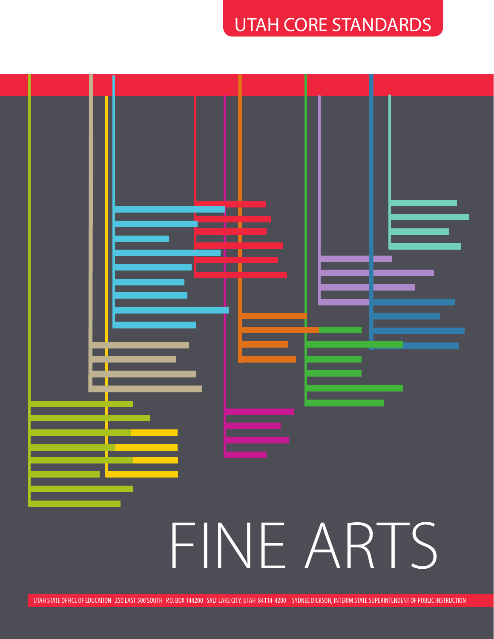# UTAH CORE STANDARDS

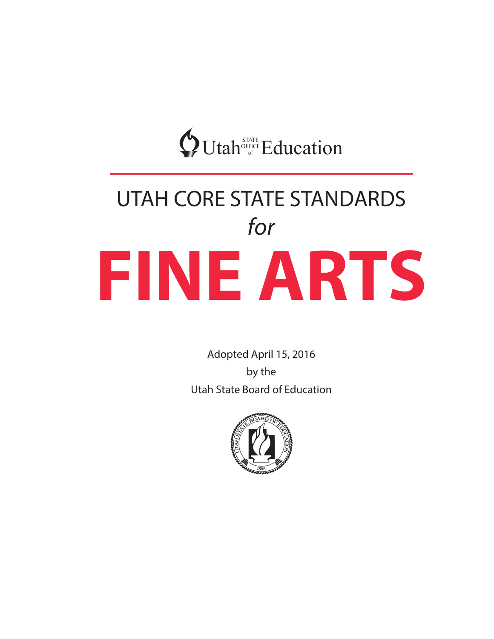

# UTAH CORE STATE STANDARDS *for* **FINE ARTS**

Adopted April 15, 2016 by the Utah State Board of Education

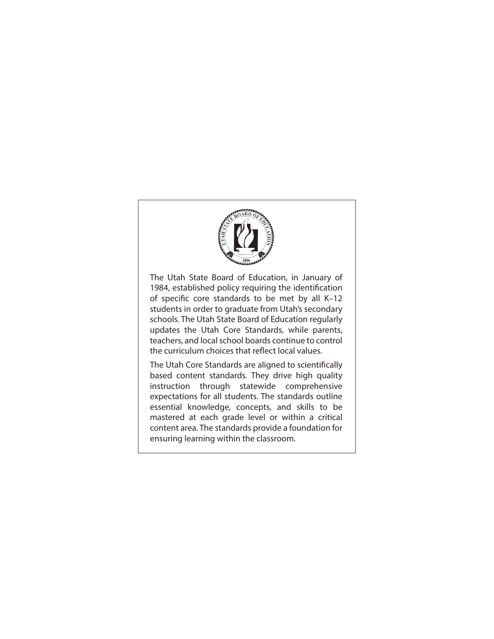

The Utah State Board of Education, in January of 1984, established policy requiring the identification of specific core standards to be met by all K–12 students in order to graduate from Utah's secondary schools. The Utah State Board of Education regularly updates the Utah Core Standards, while parents, teachers, and local school boards continue to control the curriculum choices that reflect local values.

The Utah Core Standards are aligned to scientifically based content standards. They drive high quality instruction through statewide comprehensive expectations for all students. The standards outline essential knowledge, concepts, and skills to be mastered at each grade level or within a critical content area. The standards provide a foundation for ensuring learning within the classroom.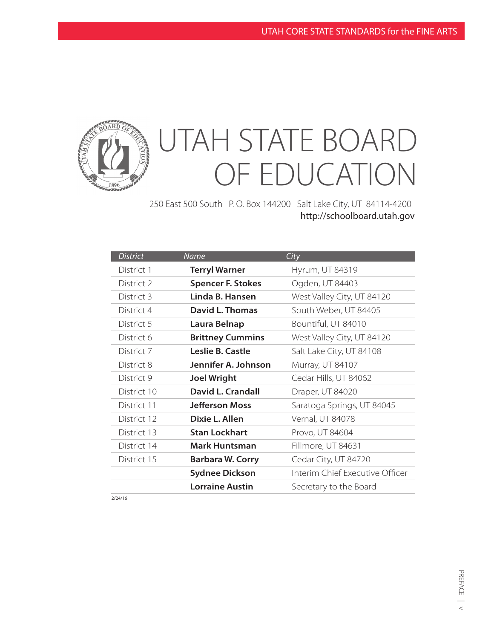# UTAH STATE BOARD **DF EDUCATION**

250 East 500 South P. O. Box 144200 Salt Lake City, UT 84114-4200 http://schoolboard.utah.gov

| <b>District</b> | <b>Name</b>              | City                            |
|-----------------|--------------------------|---------------------------------|
| District 1      | <b>Terryl Warner</b>     | Hyrum, UT 84319                 |
| District 2      | <b>Spencer F. Stokes</b> | Ogden, UT 84403                 |
| District 3      | Linda B. Hansen          | West Valley City, UT 84120      |
| District 4      | <b>David L. Thomas</b>   | South Weber, UT 84405           |
| District 5      | Laura Belnap             | Bountiful, UT 84010             |
| District 6      | <b>Brittney Cummins</b>  | West Valley City, UT 84120      |
| District 7      | Leslie B. Castle         | Salt Lake City, UT 84108        |
| District 8      | Jennifer A. Johnson      | Murray, UT 84107                |
| District 9      | <b>Joel Wright</b>       | Cedar Hills, UT 84062           |
| District 10     | David L. Crandall        | Draper, UT 84020                |
| District 11     | <b>Jefferson Moss</b>    | Saratoga Springs, UT 84045      |
| District 12     | Dixie L. Allen           | Vernal, UT 84078                |
| District 13     | <b>Stan Lockhart</b>     | Provo, UT 84604                 |
| District 14     | <b>Mark Huntsman</b>     | Fillmore, UT 84631              |
| District 15     | <b>Barbara W. Corry</b>  | Cedar City, UT 84720            |
|                 | <b>Sydnee Dickson</b>    | Interim Chief Executive Officer |
|                 | <b>Lorraine Austin</b>   | Secretary to the Board          |

2/24/16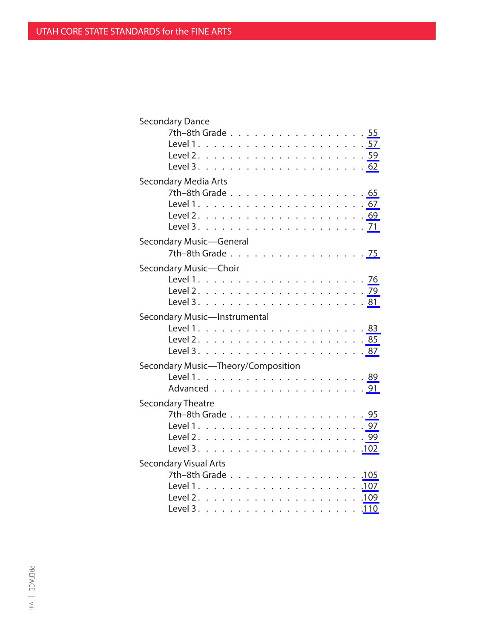| <b>Secondary Dance</b>             |      |
|------------------------------------|------|
| 7th-8th Grade 55                   |      |
|                                    |      |
|                                    |      |
|                                    |      |
| <b>Secondary Media Arts</b>        |      |
| 7th-8th Grade 65                   |      |
|                                    |      |
|                                    |      |
|                                    |      |
| Secondary Music-General            |      |
| 7th-8th Grade 75                   |      |
| Secondary Music-Choir              |      |
|                                    |      |
|                                    |      |
|                                    |      |
| Secondary Music-Instrumental       |      |
|                                    |      |
|                                    |      |
|                                    |      |
| Secondary Music-Theory/Composition |      |
|                                    |      |
|                                    |      |
| <b>Secondary Theatre</b>           |      |
| 7th-8th Grade 95                   |      |
|                                    |      |
|                                    |      |
|                                    |      |
| <b>Secondary Visual Arts</b>       |      |
| 7th-8th Grade 105                  |      |
|                                    |      |
|                                    |      |
|                                    | .110 |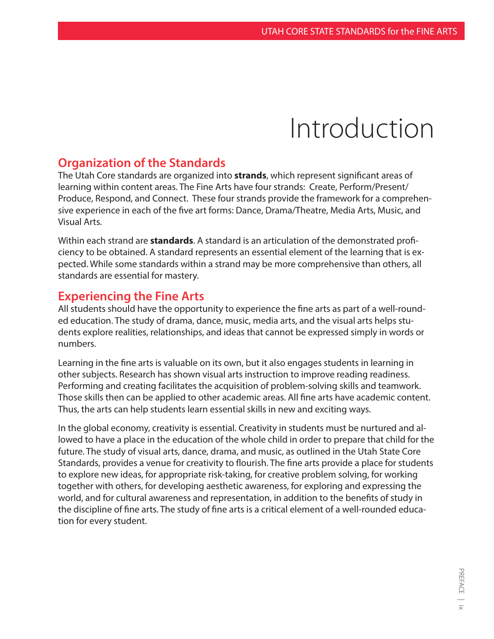# Introduction

# **Organization of the Standards**

The Utah Core standards are organized into **strands**, which represent significant areas of learning within content areas. The Fine Arts have four strands: Create, Perform/Present/ Produce, Respond, and Connect. These four strands provide the framework for a comprehensive experience in each of the five art forms: Dance, Drama/Theatre, Media Arts, Music, and Visual Arts.

Within each strand are **standards**. A standard is an articulation of the demonstrated proficiency to be obtained. A standard represents an essential element of the learning that is expected. While some standards within a strand may be more comprehensive than others, all standards are essential for mastery.

# **Experiencing the Fine Arts**

All students should have the opportunity to experience the fine arts as part of a well-rounded education. The study of drama, dance, music, media arts, and the visual arts helps students explore realities, relationships, and ideas that cannot be expressed simply in words or numbers.

Learning in the fine arts is valuable on its own, but it also engages students in learning in other subjects. Research has shown visual arts instruction to improve reading readiness. Performing and creating facilitates the acquisition of problem-solving skills and teamwork. Those skills then can be applied to other academic areas. All fine arts have academic content. Thus, the arts can help students learn essential skills in new and exciting ways.

In the global economy, creativity is essential. Creativity in students must be nurtured and allowed to have a place in the education of the whole child in order to prepare that child for the future. The study of visual arts, dance, drama, and music, as outlined in the Utah State Core Standards, provides a venue for creativity to flourish. The fine arts provide a place for students to explore new ideas, for appropriate risk-taking, for creative problem solving, for working together with others, for developing aesthetic awareness, for exploring and expressing the world, and for cultural awareness and representation, in addition to the benefits of study in the discipline of fine arts. The study of fine arts is a critical element of a well-rounded education for every student.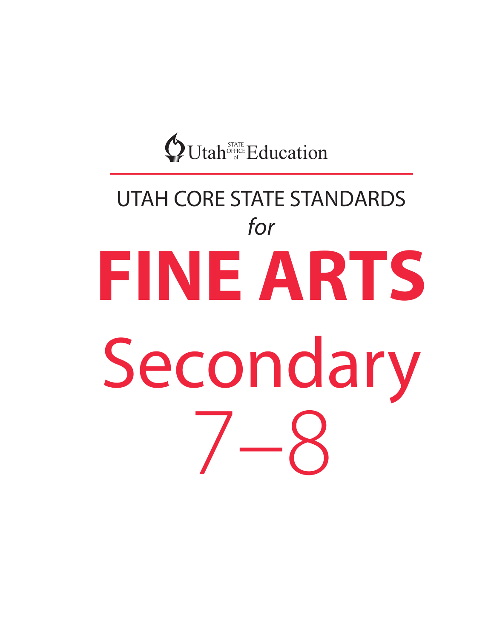

# UTAH CORE STATE STANDARDS *for* **FINE ARTS** Secondary  $\sqrt{2}$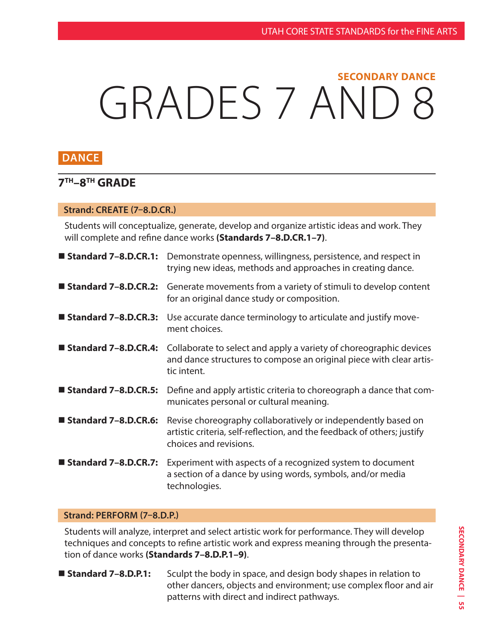# <span id="page-7-0"></span>**SECONDARY DANCE** GRADES 7 AND 8

# **DANCE**

### **7TH–8TH GRADE**

#### **Strand: CREATE (7–8.D.CR.)**

Students will conceptualize, generate, develop and organize artistic ideas and work. They will complete and refine dance works **(Standards 7–8.D.CR.1–7)**.

| ■ Standard 7-8.D.CR.1:              | Demonstrate openness, willingness, persistence, and respect in<br>trying new ideas, methods and approaches in creating dance.                                      |
|-------------------------------------|--------------------------------------------------------------------------------------------------------------------------------------------------------------------|
| <b>Standard 7-8.D.CR.2:</b>         | Generate movements from a variety of stimuli to develop content<br>for an original dance study or composition.                                                     |
| $\blacksquare$ Standard 7-8.D.CR.3: | Use accurate dance terminology to articulate and justify move-<br>ment choices.                                                                                    |
| $\blacksquare$ Standard 7-8.D.CR.4: | Collaborate to select and apply a variety of choreographic devices<br>and dance structures to compose an original piece with clear artis-<br>tic intent.           |
| ■ Standard 7-8.D.CR.5:              | Define and apply artistic criteria to choreograph a dance that com-<br>municates personal or cultural meaning.                                                     |
| $\blacksquare$ Standard 7-8.D.CR.6: | Revise choreography collaboratively or independently based on<br>artistic criteria, self-reflection, and the feedback of others; justify<br>choices and revisions. |
| ■ Standard 7-8.D.CR.7:              | Experiment with aspects of a recognized system to document<br>a section of a dance by using words, symbols, and/or media<br>technologies.                          |

#### **Strand: PERFORM (7–8.D.P.)**

Students will analyze, interpret and select artistic work for performance. They will develop techniques and concepts to refine artistic work and express meaning through the presentation of dance works **(Standards 7–8.D.P.1–9)**.

■ **Standard 7–8.D.P.1:** Sculpt the body in space, and design body shapes in relation to other dancers, objects and environment; use complex floor and air patterns with direct and indirect pathways.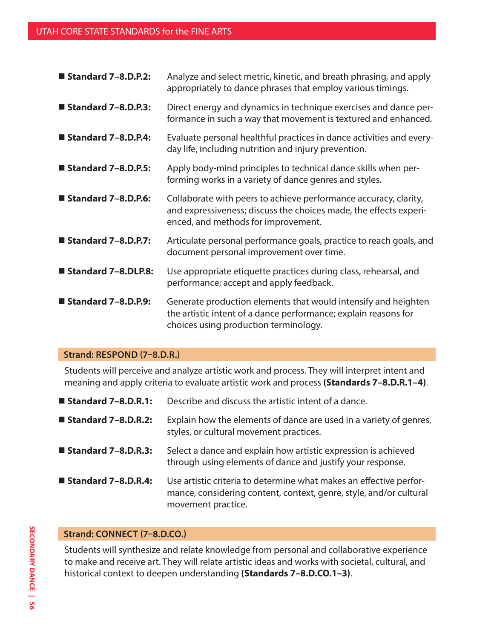| ■ Standard 7-8.D.P.2:              | Analyze and select metric, kinetic, and breath phrasing, and apply<br>appropriately to dance phrases that employ various timings.                                            |
|------------------------------------|------------------------------------------------------------------------------------------------------------------------------------------------------------------------------|
| ■ Standard 7-8.D.P.3:              | Direct energy and dynamics in technique exercises and dance per-<br>formance in such a way that movement is textured and enhanced.                                           |
| ■ Standard 7-8.D.P.4:              | Evaluate personal healthful practices in dance activities and every-<br>day life, including nutrition and injury prevention.                                                 |
| ■ Standard 7-8.D.P.5:              | Apply body-mind principles to technical dance skills when per-<br>forming works in a variety of dance genres and styles.                                                     |
| <b>Standard 7-8.D.P.6:</b>         | Collaborate with peers to achieve performance accuracy, clarity,<br>and expressiveness; discuss the choices made, the effects experi-<br>enced, and methods for improvement. |
| ■ Standard 7-8.D.P.7:              | Articulate personal performance goals, practice to reach goals, and<br>document personal improvement over time.                                                              |
| Standard 7-8.DLP.8:                | Use appropriate etiquette practices during class, rehearsal, and<br>performance; accept and apply feedback.                                                                  |
| $\blacksquare$ Standard 7-8.D.P.9: | Generate production elements that would intensify and heighten<br>the artistic intent of a dance performance; explain reasons for<br>choices using production terminology.   |

#### **Strand: RESPOND (7–8.D.R.)**

Students will perceive and analyze artistic work and process. They will interpret intent and meaning and apply criteria to evaluate artistic work and process **(Standards 7–8.D.R.1–4)**.

| $\blacksquare$ Standard 7-8.D.R.1: | Describe and discuss the artistic intent of a dance.                                                                                                           |
|------------------------------------|----------------------------------------------------------------------------------------------------------------------------------------------------------------|
| $\blacksquare$ Standard 7-8.D.R.2: | Explain how the elements of dance are used in a variety of genres,<br>styles, or cultural movement practices.                                                  |
| $\blacksquare$ Standard 7-8.D.R.3: | Select a dance and explain how artistic expression is achieved<br>through using elements of dance and justify your response.                                   |
| $\blacksquare$ Standard 7-8.D.R.4: | Use artistic criteria to determine what makes an effective perfor-<br>mance, considering content, context, genre, style, and/or cultural<br>movement practice. |

#### **Strand: CONNECT (7–8.D.CO.)**

Students will synthesize and relate knowledge from personal and collaborative experience to make and receive art. They will relate artistic ideas and works with societal, cultural, and historical context to deepen understanding **(Standards 7–8.D.CO.1–3)**.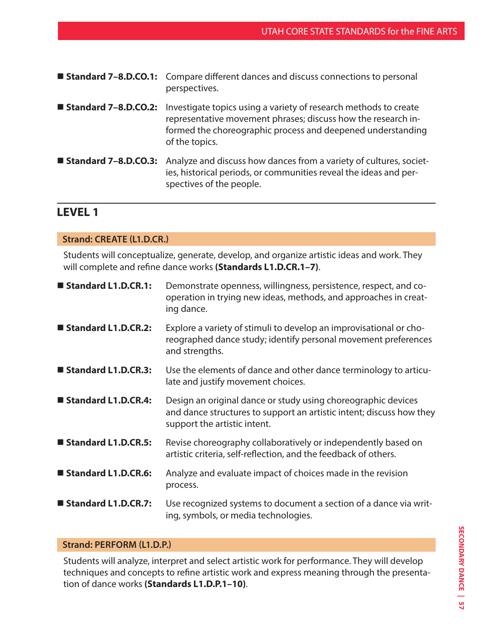<span id="page-9-0"></span>

| ■ Standard 7-8.D.CO.1: Compare different dances and discuss connections to personal<br>perspectives.                                                                                                                                           |
|------------------------------------------------------------------------------------------------------------------------------------------------------------------------------------------------------------------------------------------------|
| <b>Standard 7-8.D.CO.2:</b> Investigate topics using a variety of research methods to create<br>representative movement phrases; discuss how the research in-<br>formed the choreographic process and deepened understanding<br>of the topics. |
| <b>Standard 7-8.D.CO.3:</b> Analyze and discuss how dances from a variety of cultures, societ-<br>ies, historical periods, or communities reveal the ideas and per-<br>spectives of the people.                                                |

# **LEVEL 1**

#### **Strand: CREATE (L1.D.CR.)**

Students will conceptualize, generate, develop, and organize artistic ideas and work. They will complete and refine dance works **(Standards L1.D.CR.1–7)**.

| <b>Standard L1.D.CR.1:</b> | Demonstrate openness, willingness, persistence, respect, and co-<br>operation in trying new ideas, methods, and approaches in creat-<br>ing dance.                    |
|----------------------------|-----------------------------------------------------------------------------------------------------------------------------------------------------------------------|
| <b>Standard L1.D.CR.2:</b> | Explore a variety of stimuli to develop an improvisational or cho-<br>reographed dance study; identify personal movement preferences<br>and strengths.                |
| ■ Standard L1.D.CR.3:      | Use the elements of dance and other dance terminology to articu-<br>late and justify movement choices.                                                                |
| <b>Standard L1.D.CR.4:</b> | Design an original dance or study using choreographic devices<br>and dance structures to support an artistic intent; discuss how they<br>support the artistic intent. |
| <b>Standard L1.D.CR.5:</b> | Revise choreography collaboratively or independently based on<br>artistic criteria, self-reflection, and the feedback of others.                                      |
| <b>Standard L1.D.CR.6:</b> | Analyze and evaluate impact of choices made in the revision<br>process.                                                                                               |
| <b>Standard L1.D.CR.7:</b> | Use recognized systems to document a section of a dance via writ-<br>ing, symbols, or media technologies.                                                             |

#### **Strand: PERFORM (L1.D.P.)**

Students will analyze, interpret and select artistic work for performance. They will develop techniques and concepts to refine artistic work and express meaning through the presentation of dance works **(Standards L1.D.P.1–10)**.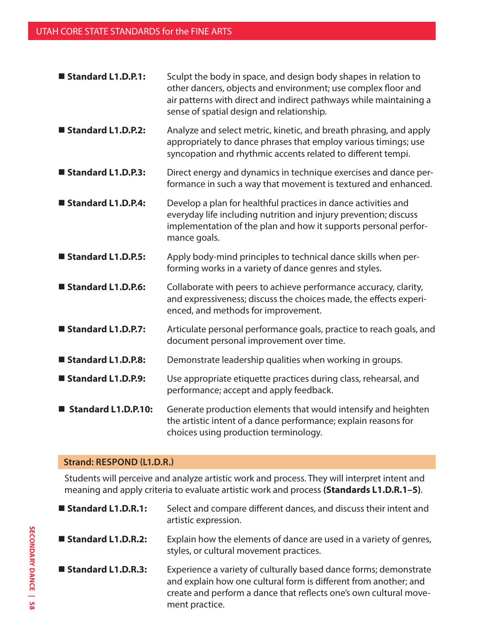| ■ Standard L1.D.P.1:      | Sculpt the body in space, and design body shapes in relation to<br>other dancers, objects and environment; use complex floor and<br>air patterns with direct and indirect pathways while maintaining a<br>sense of spatial design and relationship. |
|---------------------------|-----------------------------------------------------------------------------------------------------------------------------------------------------------------------------------------------------------------------------------------------------|
| ■ Standard L1.D.P.2:      | Analyze and select metric, kinetic, and breath phrasing, and apply<br>appropriately to dance phrases that employ various timings; use<br>syncopation and rhythmic accents related to different tempi.                                               |
| ■ Standard L1.D.P.3:      | Direct energy and dynamics in technique exercises and dance per-<br>formance in such a way that movement is textured and enhanced.                                                                                                                  |
| <b>Standard L1.D.P.4:</b> | Develop a plan for healthful practices in dance activities and<br>everyday life including nutrition and injury prevention; discuss<br>implementation of the plan and how it supports personal perfor-<br>mance goals.                               |
| <b>Standard L1.D.P.5:</b> | Apply body-mind principles to technical dance skills when per-<br>forming works in a variety of dance genres and styles.                                                                                                                            |
| Standard L1.D.P.6:        | Collaborate with peers to achieve performance accuracy, clarity,<br>and expressiveness; discuss the choices made, the effects experi-<br>enced, and methods for improvement.                                                                        |
| <b>Standard L1.D.P.7:</b> | Articulate personal performance goals, practice to reach goals, and<br>document personal improvement over time.                                                                                                                                     |
| <b>Standard L1.D.P.8:</b> | Demonstrate leadership qualities when working in groups.                                                                                                                                                                                            |
| <b>Standard L1.D.P.9:</b> | Use appropriate etiquette practices during class, rehearsal, and<br>performance; accept and apply feedback.                                                                                                                                         |
| Standard L1.D.P.10:       | Generate production elements that would intensify and heighten<br>the artistic intent of a dance performance; explain reasons for<br>choices using production terminology.                                                                          |

#### **Strand: RESPOND (L1.D.R.)**

Students will perceive and analyze artistic work and process. They will interpret intent and meaning and apply criteria to evaluate artistic work and process **(Standards L1.D.R.1–5)**.

■ **Standard L1.D.R.1:** Select and compare different dances, and discuss their intent and artistic expression. **Standard L1.D.R.2:** Explain how the elements of dance are used in a variety of genres, styles, or cultural movement practices. ■ **Standard L1.D.R.3:** Experience a variety of culturally based dance forms; demonstrate and explain how one cultural form is different from another; and create and perform a dance that reflects one's own cultural movement practice.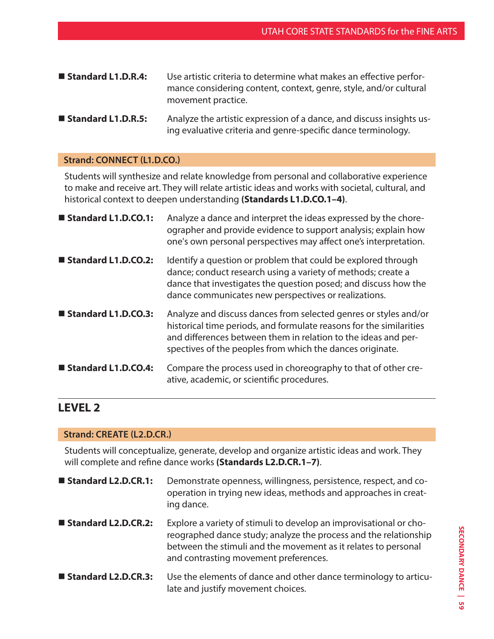<span id="page-11-0"></span>

| $\blacksquare$ Standard L1.D.R.4: | Use artistic criteria to determine what makes an effective perfor- |
|-----------------------------------|--------------------------------------------------------------------|
|                                   | mance considering content, context, genre, style, and/or cultural  |
|                                   | movement practice.                                                 |
|                                   |                                                                    |

**Standard L1.D.R.5:** Analyze the artistic expression of a dance, and discuss insights using evaluative criteria and genre-specific dance terminology.

#### **Strand: CONNECT (L1.D.CO.)**

Students will synthesize and relate knowledge from personal and collaborative experience to make and receive art. They will relate artistic ideas and works with societal, cultural, and historical context to deepen understanding **(Standards L1.D.CO.1–4)**.

| <b>Standard L1.D.CO.1:</b> | Analyze a dance and interpret the ideas expressed by the chore-<br>ographer and provide evidence to support analysis; explain how<br>one's own personal perspectives may affect one's interpretation.                                                                  |
|----------------------------|------------------------------------------------------------------------------------------------------------------------------------------------------------------------------------------------------------------------------------------------------------------------|
| <b>Standard L1.D.CO.2:</b> | Identify a question or problem that could be explored through<br>dance; conduct research using a variety of methods; create a<br>dance that investigates the question posed; and discuss how the<br>dance communicates new perspectives or realizations.               |
| <b>Standard L1.D.CO.3:</b> | Analyze and discuss dances from selected genres or styles and/or<br>historical time periods, and formulate reasons for the similarities<br>and differences between them in relation to the ideas and per-<br>spectives of the peoples from which the dances originate. |
| <b>Standard L1.D.CO.4:</b> | Compare the process used in choreography to that of other cre-<br>ative, academic, or scientific procedures.                                                                                                                                                           |

# **LEVEL 2**

#### **Strand: CREATE (L2.D.CR.)**

Students will conceptualize, generate, develop and organize artistic ideas and work. They will complete and refine dance works **(Standards L2.D.CR.1–7)**.

- **Standard L2.D.CR.1:** Demonstrate openness, willingness, persistence, respect, and cooperation in trying new ideas, methods and approaches in creating dance.
- **Standard L2.D.CR.2:** Explore a variety of stimuli to develop an improvisational or choreographed dance study; analyze the process and the relationship between the stimuli and the movement as it relates to personal and contrasting movement preferences.
- **Standard L2.D.CR.3:** Use the elements of dance and other dance terminology to articulate and justify movement choices.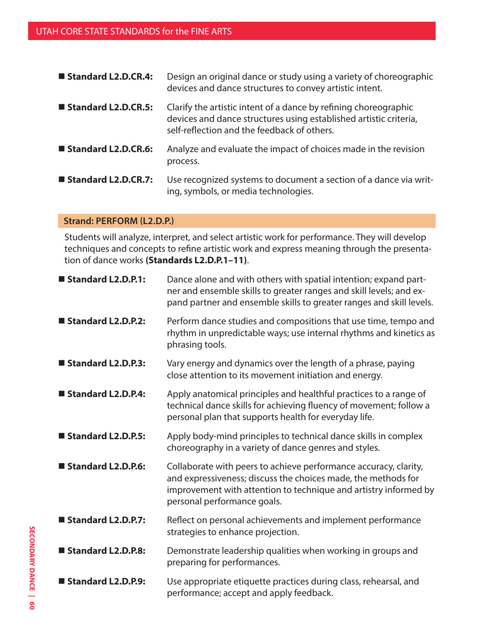| <b>Standard L2.D.CR.4:</b> | Design an original dance or study using a variety of choreographic<br>devices and dance structures to convey artistic intent.                                                        |
|----------------------------|--------------------------------------------------------------------------------------------------------------------------------------------------------------------------------------|
| <b>Standard L2.D.CR.5:</b> | Clarify the artistic intent of a dance by refining choreographic<br>devices and dance structures using established artistic criteria,<br>self-reflection and the feedback of others. |
| <b>Standard L2.D.CR.6:</b> | Analyze and evaluate the impact of choices made in the revision<br>process.                                                                                                          |
| <b>Standard L2.D.CR.7:</b> | Use recognized systems to document a section of a dance via writ-<br>ing, symbols, or media technologies.                                                                            |

#### **Strand: PERFORM (L2.D.P.)**

Students will analyze, interpret, and select artistic work for performance. They will develop techniques and concepts to refine artistic work and express meaning through the presentation of dance works **(Standards L2.D.P.1–11)**.

| Standard L2.D.P.1:        | Dance alone and with others with spatial intention; expand part-<br>ner and ensemble skills to greater ranges and skill levels; and ex-<br>pand partner and ensemble skills to greater ranges and skill levels.                      |
|---------------------------|--------------------------------------------------------------------------------------------------------------------------------------------------------------------------------------------------------------------------------------|
| ■ Standard L2.D.P.2:      | Perform dance studies and compositions that use time, tempo and<br>rhythm in unpredictable ways; use internal rhythms and kinetics as<br>phrasing tools.                                                                             |
| ■ Standard L2.D.P.3:      | Vary energy and dynamics over the length of a phrase, paying<br>close attention to its movement initiation and energy.                                                                                                               |
| <b>Standard L2.D.P.4:</b> | Apply anatomical principles and healthful practices to a range of<br>technical dance skills for achieving fluency of movement; follow a<br>personal plan that supports health for everyday life.                                     |
| Standard L2.D.P.5:        | Apply body-mind principles to technical dance skills in complex<br>choreography in a variety of dance genres and styles.                                                                                                             |
| Standard L2.D.P.6:        | Collaborate with peers to achieve performance accuracy, clarity,<br>and expressiveness; discuss the choices made, the methods for<br>improvement with attention to technique and artistry informed by<br>personal performance goals. |
| Standard L2.D.P.7:        | Reflect on personal achievements and implement performance<br>strategies to enhance projection.                                                                                                                                      |
| Standard L2.D.P.8:        | Demonstrate leadership qualities when working in groups and<br>preparing for performances.                                                                                                                                           |
| <b>Standard L2.D.P.9:</b> | Use appropriate etiquette practices during class, rehearsal, and<br>performance; accept and apply feedback.                                                                                                                          |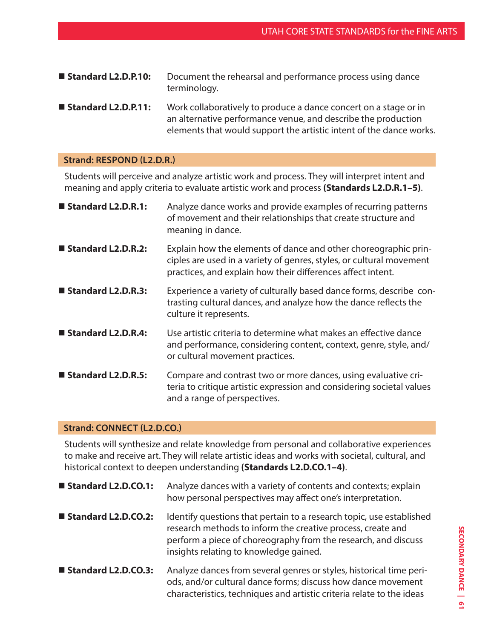| Standard L2.D.P.10:        | Document the rehearsal and performance process using dance<br>terminology.                                                                                                                               |
|----------------------------|----------------------------------------------------------------------------------------------------------------------------------------------------------------------------------------------------------|
| <b>Standard L2.D.P.11:</b> | Work collaboratively to produce a dance concert on a stage or in<br>an alternative performance venue, and describe the production<br>elements that would support the artistic intent of the dance works. |

#### **Strand: RESPOND (L2.D.R.)**

Students will perceive and analyze artistic work and process. They will interpret intent and meaning and apply criteria to evaluate artistic work and process **(Standards L2.D.R.1–5)**.

| <b>Standard L2.D.R.1:</b> | Analyze dance works and provide examples of recurring patterns<br>of movement and their relationships that create structure and<br>meaning in dance.                                                   |
|---------------------------|--------------------------------------------------------------------------------------------------------------------------------------------------------------------------------------------------------|
| <b>Standard L2.D.R.2:</b> | Explain how the elements of dance and other choreographic prin-<br>ciples are used in a variety of genres, styles, or cultural movement<br>practices, and explain how their differences affect intent. |
| <b>Standard L2.D.R.3:</b> | Experience a variety of culturally based dance forms, describe con-<br>trasting cultural dances, and analyze how the dance reflects the<br>culture it represents.                                      |
| <b>Standard L2.D.R.4:</b> | Use artistic criteria to determine what makes an effective dance<br>and performance, considering content, context, genre, style, and/<br>or cultural movement practices.                               |
| <b>Standard L2.D.R.5:</b> | Compare and contrast two or more dances, using evaluative cri-<br>teria to critique artistic expression and considering societal values<br>and a range of perspectives.                                |

#### **Strand: CONNECT (L2.D.CO.)**

Students will synthesize and relate knowledge from personal and collaborative experiences to make and receive art. They will relate artistic ideas and works with societal, cultural, and historical context to deepen understanding **(Standards L2.D.CO.1–4)**.

■ **Standard L2.D.CO.1:** Analyze dances with a variety of contents and contexts; explain how personal perspectives may affect one's interpretation. **Standard L2.D.CO.2:** Identify questions that pertain to a research topic, use established research methods to inform the creative process, create and perform a piece of choreography from the research, and discuss insights relating to knowledge gained. ■ **Standard L2.D.CO.3:** Analyze dances from several genres or styles, historical time periods, and/or cultural dance forms; discuss how dance movement characteristics, techniques and artistic criteria relate to the ideas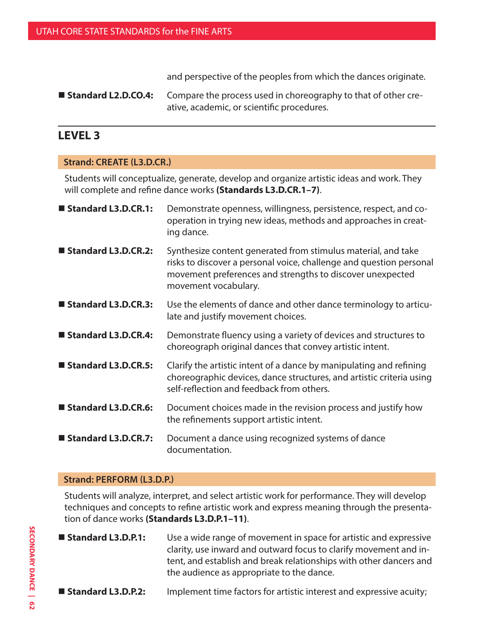and perspective of the peoples from which the dances originate.

<span id="page-14-0"></span>■ **Standard L2.D.CO.4:** Compare the process used in choreography to that of other creative, academic, or scientific procedures.

### **LEVEL 3**

#### **Strand: CREATE (L3.D.CR.)**

Students will conceptualize, generate, develop and organize artistic ideas and work. They will complete and refine dance works **(Standards L3.D.CR.1–7)**.

| <b>Standard L3.D.CR.1:</b> | Demonstrate openness, willingness, persistence, respect, and co-<br>operation in trying new ideas, methods and approaches in creat-<br>ing dance.                                                                         |
|----------------------------|---------------------------------------------------------------------------------------------------------------------------------------------------------------------------------------------------------------------------|
| <b>Standard L3.D.CR.2:</b> | Synthesize content generated from stimulus material, and take<br>risks to discover a personal voice, challenge and question personal<br>movement preferences and strengths to discover unexpected<br>movement vocabulary. |
| ■ Standard L3.D.CR.3:      | Use the elements of dance and other dance terminology to articu-<br>late and justify movement choices.                                                                                                                    |
| <b>Standard L3.D.CR.4:</b> | Demonstrate fluency using a variety of devices and structures to<br>choreograph original dances that convey artistic intent.                                                                                              |
| <b>Standard L3.D.CR.5:</b> | Clarify the artistic intent of a dance by manipulating and refining<br>choreographic devices, dance structures, and artistic criteria using<br>self-reflection and feedback from others.                                  |
| <b>Standard L3.D.CR.6:</b> | Document choices made in the revision process and justify how<br>the refinements support artistic intent.                                                                                                                 |
| ■ Standard L3.D.CR.7:      | Document a dance using recognized systems of dance<br>documentation.                                                                                                                                                      |

#### **Strand: PERFORM (L3.D.P.)**

Students will analyze, interpret, and select artistic work for performance. They will develop techniques and concepts to refine artistic work and express meaning through the presentation of dance works **(Standards L3.D.P.1–11)**.

- **Standard L3.D.P.1:** Use a wide range of movement in space for artistic and expressive clarity, use inward and outward focus to clarify movement and intent, and establish and break relationships with other dancers and the audience as appropriate to the dance.
- **Standard L3.D.P.2:** Implement time factors for artistic interest and expressive acuity;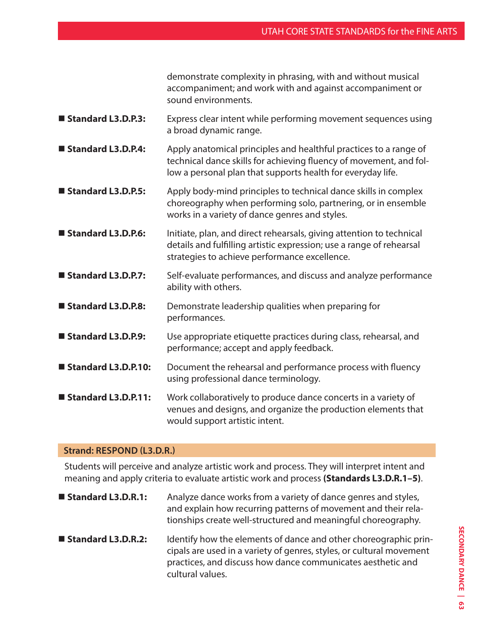demonstrate complexity in phrasing, with and without musical accompaniment; and work with and against accompaniment or sound environments.

- **Standard L3.D.P.3:** Express clear intent while performing movement sequences using a broad dynamic range.
- **Standard L3.D.P.4:** Apply anatomical principles and healthful practices to a range of technical dance skills for achieving fluency of movement, and follow a personal plan that supports health for everyday life.
- **Standard L3.D.P.5:** Apply body-mind principles to technical dance skills in complex choreography when performing solo, partnering, or in ensemble works in a variety of dance genres and styles.
- **Standard L3.D.P.6:** Initiate, plan, and direct rehearsals, giving attention to technical details and fulfilling artistic expression; use a range of rehearsal strategies to achieve performance excellence.
- **Standard L3.D.P.7:** Self-evaluate performances, and discuss and analyze performance ability with others.
- **Standard L3.D.P.8:** Demonstrate leadership qualities when preparing for performances.
- **Standard L3.D.P.9:** Use appropriate etiquette practices during class, rehearsal, and performance; accept and apply feedback.
- **Standard L3.D.P.10:** Document the rehearsal and performance process with fluency using professional dance terminology.
- **Standard L3.D.P.11:** Work collaboratively to produce dance concerts in a variety of venues and designs, and organize the production elements that would support artistic intent.

#### **Strand: RESPOND (L3.D.R.)**

Students will perceive and analyze artistic work and process. They will interpret intent and meaning and apply criteria to evaluate artistic work and process **(Standards L3.D.R.1–5)**.

- **Standard L3.D.R.1:** Analyze dance works from a variety of dance genres and styles, and explain how recurring patterns of movement and their relationships create well-structured and meaningful choreography.
- **Standard L3.D.R.2:** Identify how the elements of dance and other choreographic principals are used in a variety of genres, styles, or cultural movement practices, and discuss how dance communicates aesthetic and cultural values.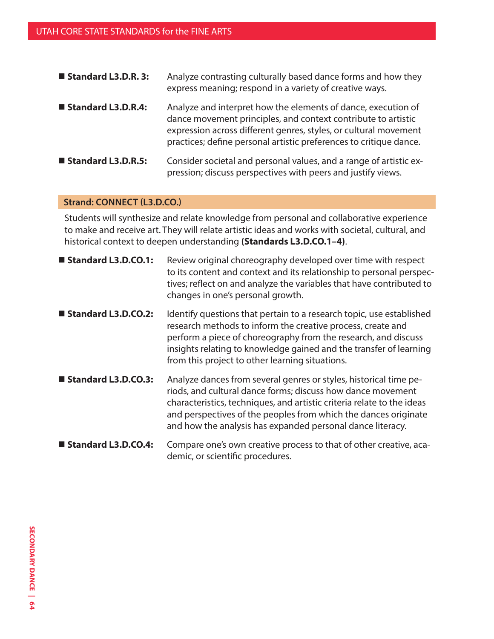| <b>Standard L3.D.R. 3:</b> | Analyze contrasting culturally based dance forms and how they<br>express meaning; respond in a variety of creative ways.                                                                                                                                                 |
|----------------------------|--------------------------------------------------------------------------------------------------------------------------------------------------------------------------------------------------------------------------------------------------------------------------|
| <b>Standard L3.D.R.4:</b>  | Analyze and interpret how the elements of dance, execution of<br>dance movement principles, and context contribute to artistic<br>expression across different genres, styles, or cultural movement<br>practices; define personal artistic preferences to critique dance. |
| <b>Standard L3.D.R.5:</b>  | Consider societal and personal values, and a range of artistic ex-<br>pression; discuss perspectives with peers and justify views.                                                                                                                                       |

#### **Strand: CONNECT (L3.D.CO.)**

Students will synthesize and relate knowledge from personal and collaborative experience to make and receive art. They will relate artistic ideas and works with societal, cultural, and historical context to deepen understanding **(Standards L3.D.CO.1–4)**.

| <b>Standard L3.D.CO.1:</b> | Review original choreography developed over time with respect<br>to its content and context and its relationship to personal perspec-<br>tives; reflect on and analyze the variables that have contributed to<br>changes in one's personal growth.                                                                                          |
|----------------------------|---------------------------------------------------------------------------------------------------------------------------------------------------------------------------------------------------------------------------------------------------------------------------------------------------------------------------------------------|
| <b>Standard L3.D.CO.2:</b> | Identify questions that pertain to a research topic, use established<br>research methods to inform the creative process, create and<br>perform a piece of choreography from the research, and discuss<br>insights relating to knowledge gained and the transfer of learning<br>from this project to other learning situations.              |
| <b>Standard L3.D.CO.3:</b> | Analyze dances from several genres or styles, historical time pe-<br>riods, and cultural dance forms; discuss how dance movement<br>characteristics, techniques, and artistic criteria relate to the ideas<br>and perspectives of the peoples from which the dances originate<br>and how the analysis has expanded personal dance literacy. |
| <b>Standard L3.D.CO.4:</b> | Compare one's own creative process to that of other creative, aca-<br>demic, or scientific procedures.                                                                                                                                                                                                                                      |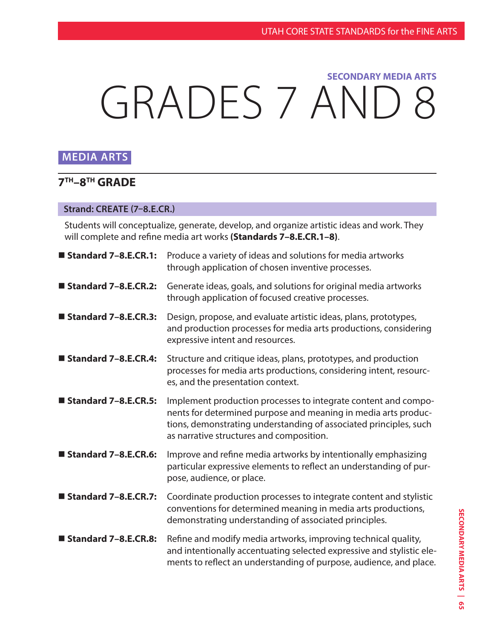# <span id="page-17-0"></span>**SECONDARY MEDIA ARTS** GRADES 7 AND 8

# **MEDIA ARTS**

# **7TH–8TH GRADE**

#### **Strand: CREATE (7–8.E.CR.)**

Students will conceptualize, generate, develop, and organize artistic ideas and work. They will complete and refine media art works **(Standards 7–8.E.CR.1–8)**.

| ■ Standard 7-8.E.CR.1:      | Produce a variety of ideas and solutions for media artworks<br>through application of chosen inventive processes.                                                                                                                                 |
|-----------------------------|---------------------------------------------------------------------------------------------------------------------------------------------------------------------------------------------------------------------------------------------------|
| ■ Standard 7-8.E.CR.2:      | Generate ideas, goals, and solutions for original media artworks<br>through application of focused creative processes.                                                                                                                            |
| ■ Standard 7-8.E.CR.3:      | Design, propose, and evaluate artistic ideas, plans, prototypes,<br>and production processes for media arts productions, considering<br>expressive intent and resources.                                                                          |
| ■ Standard 7-8.E.CR.4:      | Structure and critique ideas, plans, prototypes, and production<br>processes for media arts productions, considering intent, resourc-<br>es, and the presentation context.                                                                        |
| ■ Standard 7-8.E.CR.5:      | Implement production processes to integrate content and compo-<br>nents for determined purpose and meaning in media arts produc-<br>tions, demonstrating understanding of associated principles, such<br>as narrative structures and composition. |
| Standard 7-8.E.CR.6:        | Improve and refine media artworks by intentionally emphasizing<br>particular expressive elements to reflect an understanding of pur-<br>pose, audience, or place.                                                                                 |
| ■ Standard 7-8.E.CR.7:      | Coordinate production processes to integrate content and stylistic<br>conventions for determined meaning in media arts productions,<br>demonstrating understanding of associated principles.                                                      |
| <b>Standard 7-8.E.CR.8:</b> | Refine and modify media artworks, improving technical quality,<br>and intentionally accentuating selected expressive and stylistic ele-<br>ments to reflect an understanding of purpose, audience, and place.                                     |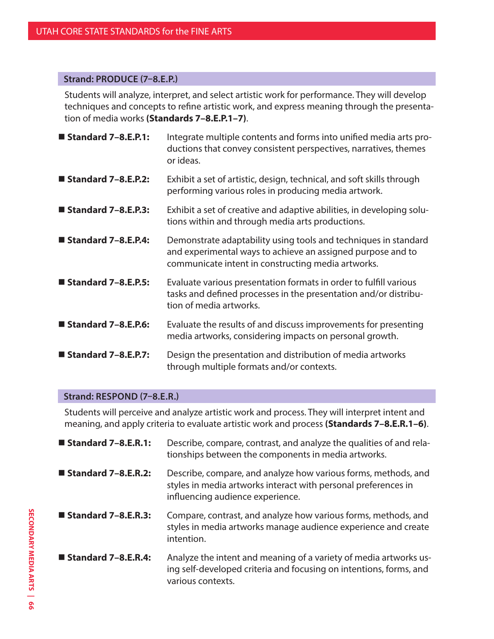#### **Strand: PRODUCE (7–8.E.P.)**

Students will analyze, interpret, and select artistic work for performance. They will develop techniques and concepts to refine artistic work, and express meaning through the presentation of media works **(Standards 7–8.E.P.1–7)**.

| $\blacksquare$ Standard 7-8.E.P.1: | Integrate multiple contents and forms into unified media arts pro-<br>ductions that convey consistent perspectives, narratives, themes<br>or ideas.                                  |
|------------------------------------|--------------------------------------------------------------------------------------------------------------------------------------------------------------------------------------|
| $\blacksquare$ Standard 7-8.E.P.2: | Exhibit a set of artistic, design, technical, and soft skills through<br>performing various roles in producing media artwork.                                                        |
| $\blacksquare$ Standard 7-8.E.P.3: | Exhibit a set of creative and adaptive abilities, in developing solu-<br>tions within and through media arts productions.                                                            |
| $\blacksquare$ Standard 7-8.E.P.4: | Demonstrate adaptability using tools and techniques in standard<br>and experimental ways to achieve an assigned purpose and to<br>communicate intent in constructing media artworks. |
| <b>Standard 7-8.E.P.5:</b>         | Evaluate various presentation formats in order to fulfill various<br>tasks and defined processes in the presentation and/or distribu-<br>tion of media artworks.                     |
| $\blacksquare$ Standard 7-8.E.P.6: | Evaluate the results of and discuss improvements for presenting<br>media artworks, considering impacts on personal growth.                                                           |
| ■ Standard 7-8.E.P.7:              | Design the presentation and distribution of media artworks<br>through multiple formats and/or contexts.                                                                              |

#### **Strand: RESPOND (7–8.E.R.)**

Students will perceive and analyze artistic work and process. They will interpret intent and meaning, and apply criteria to evaluate artistic work and process **(Standards 7–8.E.R.1–6)**.

| $\blacksquare$ Standard 7-8.E.R.1: | Describe, compare, contrast, and analyze the qualities of and rela-<br>tionships between the components in media artworks.                                           |
|------------------------------------|----------------------------------------------------------------------------------------------------------------------------------------------------------------------|
| $\blacksquare$ Standard 7-8.E.R.2: | Describe, compare, and analyze how various forms, methods, and<br>styles in media artworks interact with personal preferences in<br>influencing audience experience. |
| $\blacksquare$ Standard 7-8.E.R.3: | Compare, contrast, and analyze how various forms, methods, and<br>styles in media artworks manage audience experience and create<br>intention.                       |
| $\blacksquare$ Standard 7-8.E.R.4: | Analyze the intent and meaning of a variety of media artworks us-<br>ing self-developed criteria and focusing on intentions, forms, and<br>various contexts.         |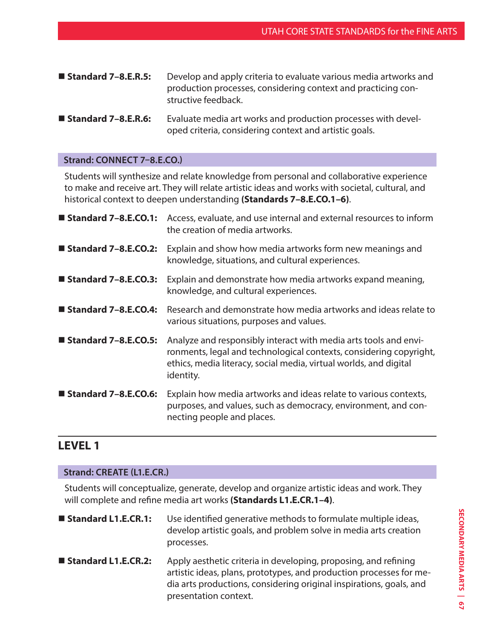<span id="page-19-0"></span>

| $\blacksquare$ Standard 7-8.E.R.5: | Develop and apply criteria to evaluate various media artworks and<br>production processes, considering context and practicing con-<br>structive feedback. |
|------------------------------------|-----------------------------------------------------------------------------------------------------------------------------------------------------------|
| $\blacksquare$ Standard 7-8.E.R.6: | Evaluate media art works and production processes with devel-                                                                                             |

oped criteria, considering context and artistic goals.

#### **Strand: CONNECT 7–8.E.CO.)**

Students will synthesize and relate knowledge from personal and collaborative experience to make and receive art. They will relate artistic ideas and works with societal, cultural, and historical context to deepen understanding **(Standards 7–8.E.CO.1–6)**.

| $\blacksquare$ Standard 7-8.E.CO.1: | Access, evaluate, and use internal and external resources to inform<br>the creation of media artworks.                                                                                                                   |
|-------------------------------------|--------------------------------------------------------------------------------------------------------------------------------------------------------------------------------------------------------------------------|
| $\blacksquare$ Standard 7-8.E.CO.2: | Explain and show how media artworks form new meanings and<br>knowledge, situations, and cultural experiences.                                                                                                            |
| $\blacksquare$ Standard 7-8.E.CO.3: | Explain and demonstrate how media artworks expand meaning,<br>knowledge, and cultural experiences.                                                                                                                       |
| $\blacksquare$ Standard 7-8.E.CO.4: | Research and demonstrate how media artworks and ideas relate to<br>various situations, purposes and values.                                                                                                              |
| ■ Standard 7-8.E.CO.5:              | Analyze and responsibly interact with media arts tools and envi-<br>ronments, legal and technological contexts, considering copyright,<br>ethics, media literacy, social media, virtual worlds, and digital<br>identity. |
| ■ Standard 7-8.E.CO.6:              | Explain how media artworks and ideas relate to various contexts,<br>purposes, and values, such as democracy, environment, and con-<br>necting people and places.                                                         |

# **LEVEL 1**

#### **Strand: CREATE (L1.E.CR.)**

Students will conceptualize, generate, develop and organize artistic ideas and work. They will complete and refine media art works **(Standards L1.E.CR.1–4)**.

- **Standard L1.E.CR.1:** Use identified generative methods to formulate multiple ideas, develop artistic goals, and problem solve in media arts creation processes.
- **Standard L1.E.CR.2:** Apply aesthetic criteria in developing, proposing, and refining artistic ideas, plans, prototypes, and production processes for media arts productions, considering original inspirations, goals, and presentation context.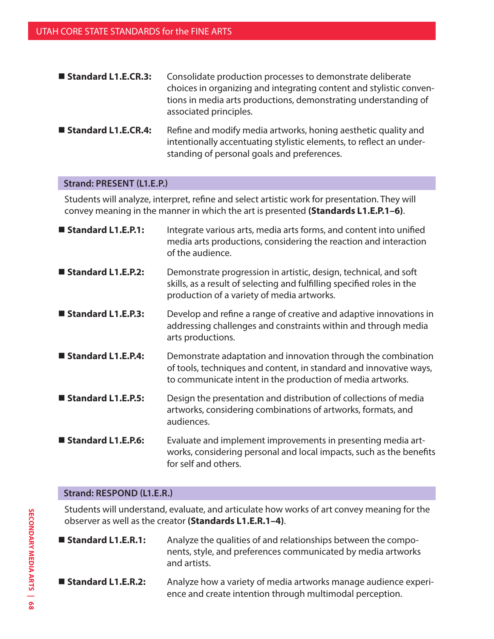| ■ Standard L1.E.CR.3: | Consolidate production processes to demonstrate deliberate          |
|-----------------------|---------------------------------------------------------------------|
|                       | choices in organizing and integrating content and stylistic conven- |
|                       | tions in media arts productions, demonstrating understanding of     |
|                       | associated principles.                                              |

■ **Standard L1.E.CR.4:** Refine and modify media artworks, honing aesthetic quality and intentionally accentuating stylistic elements, to reflect an understanding of personal goals and preferences.

#### **Strand: PRESENT (L1.E.P.)**

Students will analyze, interpret, refine and select artistic work for presentation. They will convey meaning in the manner in which the art is presented **(Standards L1.E.P.1–6)**.

| <b>Standard L1.E.P.1:</b> | Integrate various arts, media arts forms, and content into unified<br>media arts productions, considering the reaction and interaction<br>of the audience.                                        |
|---------------------------|---------------------------------------------------------------------------------------------------------------------------------------------------------------------------------------------------|
| <b>Standard L1.E.P.2:</b> | Demonstrate progression in artistic, design, technical, and soft<br>skills, as a result of selecting and fulfilling specified roles in the<br>production of a variety of media artworks.          |
| <b>Standard L1.E.P.3:</b> | Develop and refine a range of creative and adaptive innovations in<br>addressing challenges and constraints within and through media<br>arts productions.                                         |
| <b>Standard L1.E.P.4:</b> | Demonstrate adaptation and innovation through the combination<br>of tools, techniques and content, in standard and innovative ways,<br>to communicate intent in the production of media artworks. |
| <b>Standard L1.E.P.5:</b> | Design the presentation and distribution of collections of media<br>artworks, considering combinations of artworks, formats, and<br>audiences.                                                    |
| <b>Standard L1.E.P.6:</b> | Evaluate and implement improvements in presenting media art-<br>works, considering personal and local impacts, such as the benefits<br>for self and others.                                       |

#### **Strand: RESPOND (L1.E.R.)**

Students will understand, evaluate, and articulate how works of art convey meaning for the observer as well as the creator **(Standards L1.E.R.1–4)**.

- **Standard L1.E.R.1:** Analyze the qualities of and relationships between the components, style, and preferences communicated by media artworks and artists.
- **Standard L1.E.R.2:** Analyze how a variety of media artworks manage audience experience and create intention through multimodal perception.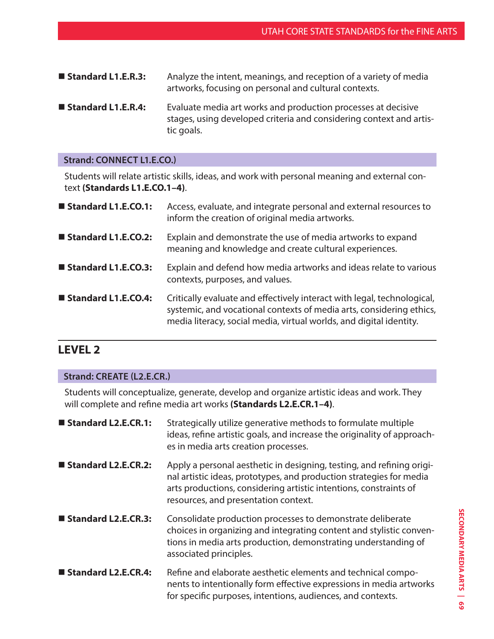<span id="page-21-0"></span>

| <b>Standard L1.E.R.3:</b> | Analyze the intent, meanings, and reception of a variety of media<br>artworks, focusing on personal and cultural contexts.                         |
|---------------------------|----------------------------------------------------------------------------------------------------------------------------------------------------|
| <b>Standard L1.E.R.4:</b> | Evaluate media art works and production processes at decisive<br>stages, using developed criteria and considering context and artis-<br>tic goals. |

#### **Strand: CONNECT L1.E.CO.)**

Students will relate artistic skills, ideas, and work with personal meaning and external context **(Standards L1.E.CO.1–4)**.

| <b>Standard L1.E.CO.1:</b> | Access, evaluate, and integrate personal and external resources to<br>inform the creation of original media artworks.                                                                                                  |
|----------------------------|------------------------------------------------------------------------------------------------------------------------------------------------------------------------------------------------------------------------|
| <b>Standard L1.E.CO.2:</b> | Explain and demonstrate the use of media artworks to expand<br>meaning and knowledge and create cultural experiences.                                                                                                  |
| <b>Standard L1.E.CO.3:</b> | Explain and defend how media artworks and ideas relate to various<br>contexts, purposes, and values.                                                                                                                   |
| <b>Standard L1.E.CO.4:</b> | Critically evaluate and effectively interact with legal, technological,<br>systemic, and vocational contexts of media arts, considering ethics,<br>media literacy, social media, virtual worlds, and digital identity. |

# **LEVEL 2**

#### **Strand: CREATE (L2.E.CR.)**

Students will conceptualize, generate, develop and organize artistic ideas and work. They will complete and refine media art works **(Standards L2.E.CR.1–4)**.

| <b>Standard L2.E.CR.1:</b> | Strategically utilize generative methods to formulate multiple<br>ideas, refine artistic goals, and increase the originality of approach-<br>es in media arts creation processes.                                                                         |
|----------------------------|-----------------------------------------------------------------------------------------------------------------------------------------------------------------------------------------------------------------------------------------------------------|
| <b>Standard L2.E.CR.2:</b> | Apply a personal aesthetic in designing, testing, and refining origi-<br>nal artistic ideas, prototypes, and production strategies for media<br>arts productions, considering artistic intentions, constraints of<br>resources, and presentation context. |
| <b>Standard L2.E.CR.3:</b> | Consolidate production processes to demonstrate deliberate<br>choices in organizing and integrating content and stylistic conven-<br>tions in media arts production, demonstrating understanding of<br>associated principles.                             |
| <b>Standard L2.E.CR.4:</b> | Refine and elaborate aesthetic elements and technical compo-<br>nents to intentionally form effective expressions in media artworks<br>for specific purposes, intentions, audiences, and contexts.                                                        |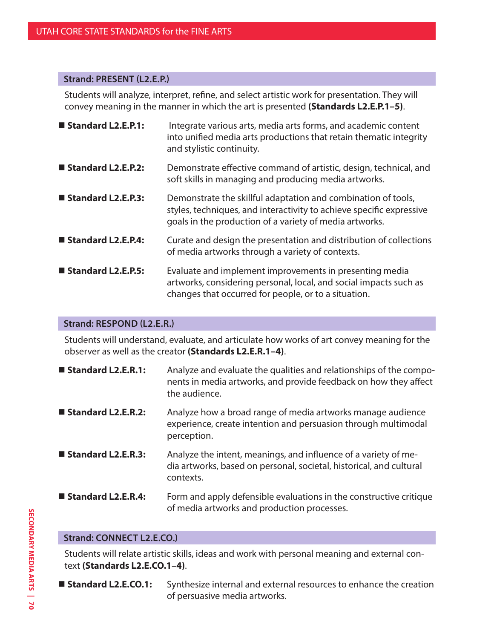#### **Strand: PRESENT (L2.E.P.)**

Students will analyze, interpret, refine, and select artistic work for presentation. They will convey meaning in the manner in which the art is presented **(Standards L2.E.P.1–5)**.

| <b>Standard L2.E.P.1:</b> | Integrate various arts, media arts forms, and academic content<br>into unified media arts productions that retain thematic integrity<br>and stylistic continuity.                                |
|---------------------------|--------------------------------------------------------------------------------------------------------------------------------------------------------------------------------------------------|
| <b>Standard L2.E.P.2:</b> | Demonstrate effective command of artistic, design, technical, and<br>soft skills in managing and producing media artworks.                                                                       |
| <b>Standard L2.E.P.3:</b> | Demonstrate the skillful adaptation and combination of tools,<br>styles, techniques, and interactivity to achieve specific expressive<br>goals in the production of a variety of media artworks. |
| <b>Standard L2.E.P.4:</b> | Curate and design the presentation and distribution of collections<br>of media artworks through a variety of contexts.                                                                           |
| <b>Standard L2.E.P.5:</b> | Evaluate and implement improvements in presenting media<br>artworks, considering personal, local, and social impacts such as<br>changes that occurred for people, or to a situation.             |

#### **Strand: RESPOND (L2.E.R.)**

Students will understand, evaluate, and articulate how works of art convey meaning for the observer as well as the creator **(Standards L2.E.R.1–4)**.

| <b>Standard L2.E.R.1:</b> | Analyze and evaluate the qualities and relationships of the compo-<br>nents in media artworks, and provide feedback on how they affect<br>the audience. |
|---------------------------|---------------------------------------------------------------------------------------------------------------------------------------------------------|
| <b>Standard L2.E.R.2:</b> | Analyze how a broad range of media artworks manage audience<br>experience, create intention and persuasion through multimodal<br>perception.            |
| <b>Standard L2.E.R.3:</b> | Analyze the intent, meanings, and influence of a variety of me-<br>dia artworks, based on personal, societal, historical, and cultural<br>contexts.     |
| ■ Standard L2.E.R.4:      | Form and apply defensible evaluations in the constructive critique<br>of media artworks and production processes.                                       |

#### **Strand: CONNECT L2.E.CO.)**

Students will relate artistic skills, ideas and work with personal meaning and external context **(Standards L2.E.CO.1–4)**.

**Standard L2.E.CO.1:** Synthesize internal and external resources to enhance the creation of persuasive media artworks.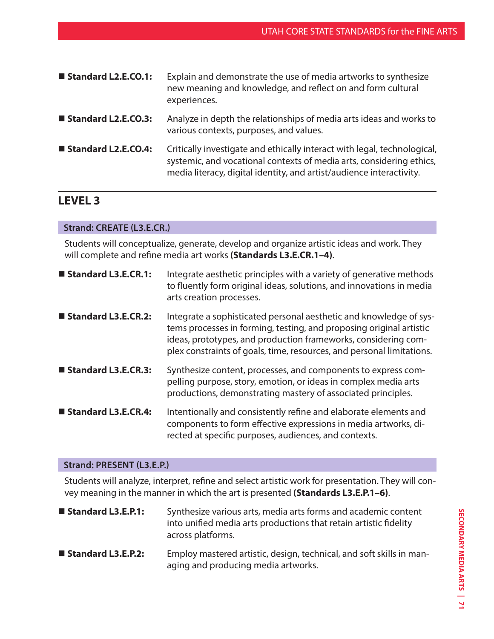<span id="page-23-0"></span>

| <b>Standard L2.E.CO.1:</b> | Explain and demonstrate the use of media artworks to synthesize<br>new meaning and knowledge, and reflect on and form cultural<br>experiences.                                                                           |
|----------------------------|--------------------------------------------------------------------------------------------------------------------------------------------------------------------------------------------------------------------------|
| <b>Standard L2.E.CO.3:</b> | Analyze in depth the relationships of media arts ideas and works to<br>various contexts, purposes, and values.                                                                                                           |
| <b>Standard L2.E.CO.4:</b> | Critically investigate and ethically interact with legal, technological,<br>systemic, and vocational contexts of media arts, considering ethics,<br>media literacy, digital identity, and artist/audience interactivity. |

# **LEVEL 3**

#### **Strand: CREATE (L3.E.CR.)**

Students will conceptualize, generate, develop and organize artistic ideas and work. They will complete and refine media art works **(Standards L3.E.CR.1–4)**.

| <b>Standard L3.E.CR.1:</b> | Integrate aesthetic principles with a variety of generative methods<br>to fluently form original ideas, solutions, and innovations in media<br>arts creation processes.                                                                                                              |
|----------------------------|--------------------------------------------------------------------------------------------------------------------------------------------------------------------------------------------------------------------------------------------------------------------------------------|
| <b>Standard L3.E.CR.2:</b> | Integrate a sophisticated personal aesthetic and knowledge of sys-<br>tems processes in forming, testing, and proposing original artistic<br>ideas, prototypes, and production frameworks, considering com-<br>plex constraints of goals, time, resources, and personal limitations. |
| <b>Standard L3.E.CR.3:</b> | Synthesize content, processes, and components to express com-<br>pelling purpose, story, emotion, or ideas in complex media arts<br>productions, demonstrating mastery of associated principles.                                                                                     |
| <b>Standard L3.E.CR.4:</b> | Intentionally and consistently refine and elaborate elements and<br>components to form effective expressions in media artworks, di-<br>rected at specific purposes, audiences, and contexts.                                                                                         |

#### **Strand: PRESENT (L3.E.P.)**

Students will analyze, interpret, refine and select artistic work for presentation. They will convey meaning in the manner in which the art is presented **(Standards L3.E.P.1–6)**.

- **Standard L3.E.P.1:** Synthesize various arts, media arts forms and academic content into unified media arts productions that retain artistic fidelity across platforms.
- **Standard L3.E.P.2:** Employ mastered artistic, design, technical, and soft skills in managing and producing media artworks.

SECONDARY MEDIA ARTS | 71 **SECONDARY MEDIA ARTS | 71**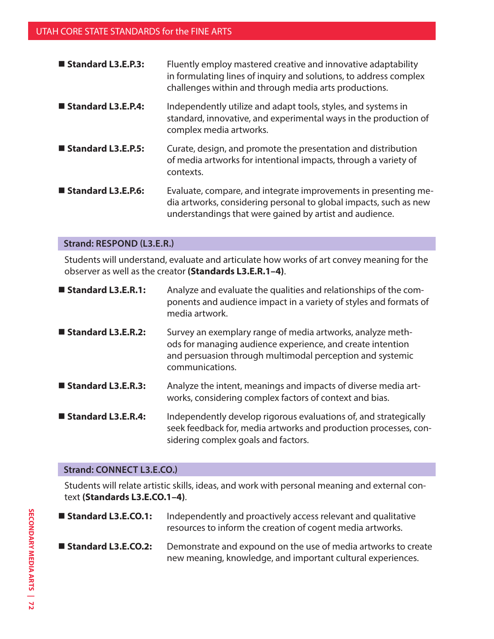| <b>Standard L3.E.P.3:</b> | Fluently employ mastered creative and innovative adaptability<br>in formulating lines of inquiry and solutions, to address complex<br>challenges within and through media arts productions.     |
|---------------------------|-------------------------------------------------------------------------------------------------------------------------------------------------------------------------------------------------|
| <b>Standard L3.E.P.4:</b> | Independently utilize and adapt tools, styles, and systems in<br>standard, innovative, and experimental ways in the production of<br>complex media artworks.                                    |
| Standard L3.E.P.5:        | Curate, design, and promote the presentation and distribution<br>of media artworks for intentional impacts, through a variety of<br>contexts.                                                   |
| <b>Standard L3.E.P.6:</b> | Evaluate, compare, and integrate improvements in presenting me-<br>dia artworks, considering personal to global impacts, such as new<br>understandings that were gained by artist and audience. |

#### **Strand: RESPOND (L3.E.R.)**

Students will understand, evaluate and articulate how works of art convey meaning for the observer as well as the creator **(Standards L3.E.R.1–4)**.

| <b>Standard L3.E.R.1:</b>         | Analyze and evaluate the qualities and relationships of the com-<br>ponents and audience impact in a variety of styles and formats of<br>media artwork.                                                  |
|-----------------------------------|----------------------------------------------------------------------------------------------------------------------------------------------------------------------------------------------------------|
| $\blacksquare$ Standard L3.E.R.2: | Survey an exemplary range of media artworks, analyze meth-<br>ods for managing audience experience, and create intention<br>and persuasion through multimodal perception and systemic<br>communications. |
| <b>Standard L3.E.R.3:</b>         | Analyze the intent, meanings and impacts of diverse media art-<br>works, considering complex factors of context and bias.                                                                                |
| <b>Standard L3.E.R.4:</b>         | Independently develop rigorous evaluations of, and strategically<br>seek feedback for, media artworks and production processes, con-<br>sidering complex goals and factors.                              |

#### **Strand: CONNECT L3.E.CO.)**

Students will relate artistic skills, ideas, and work with personal meaning and external context **(Standards L3.E.CO.1–4)**.

■ **Standard L3.E.CO.1:** Independently and proactively access relevant and qualitative resources to inform the creation of cogent media artworks. ■ **Standard L3.E.CO.2:** Demonstrate and expound on the use of media artworks to create new meaning, knowledge, and important cultural experiences.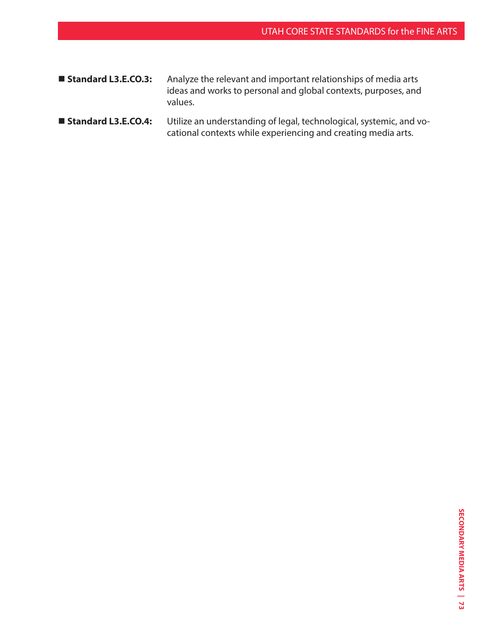- **Standard L3.E.CO.3:** Analyze the relevant and important relationships of media arts ideas and works to personal and global contexts, purposes, and values.
- **Standard L3.E.CO.4:** Utilize an understanding of legal, technological, systemic, and vocational contexts while experiencing and creating media arts.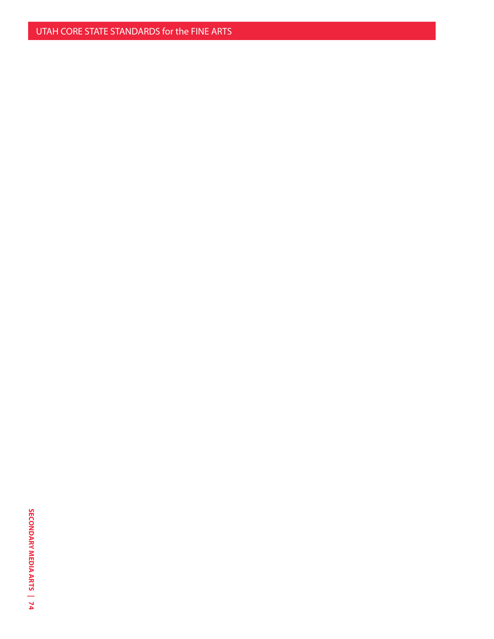SECONDARY MEDIA ARTS | 74 **SECONDARY MEDIA ARTS | 74**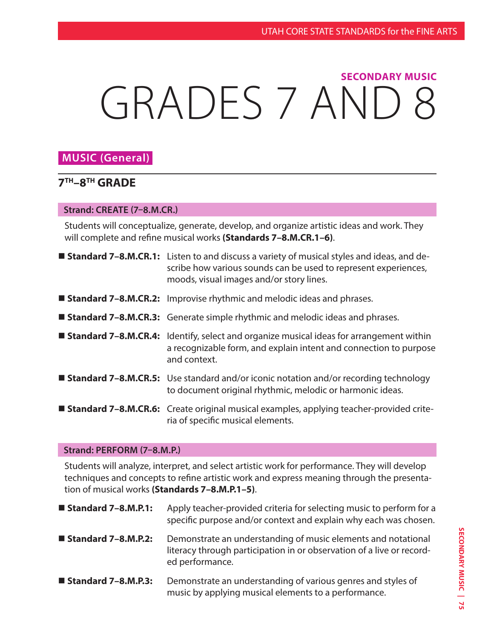# <span id="page-27-0"></span>**SECONDARY MUSIC** GRADES 7 AND 8

# **MUSIC (General)**

# **7TH–8TH GRADE**

#### **Strand: CREATE (7–8.M.CR.)**

Students will conceptualize, generate, develop, and organize artistic ideas and work. They will complete and refine musical works **(Standards 7–8.M.CR.1–6)**.

| <b>Standard 7-8.M.CR.1:</b> Listen to and discuss a variety of musical styles and ideas, and de-<br>scribe how various sounds can be used to represent experiences,<br>moods, visual images and/or story lines. |
|-----------------------------------------------------------------------------------------------------------------------------------------------------------------------------------------------------------------|
| <b>Standard 7-8.M.CR.2:</b> Improvise rhythmic and melodic ideas and phrases.                                                                                                                                   |
| <b>Standard 7-8.M.CR.3:</b> Generate simple rhythmic and melodic ideas and phrases.                                                                                                                             |
| <b>Standard 7-8.M.CR.4:</b> Identify, select and organize musical ideas for arrangement within<br>a recognizable form, and explain intent and connection to purpose<br>and context.                             |
| <b>Standard 7-8.M.CR.5:</b> Use standard and/or iconic notation and/or recording technology<br>to document original rhythmic, melodic or harmonic ideas.                                                        |
| ■ Standard 7-8.M.CR.6: Create original musical examples, applying teacher-provided crite-<br>ria of specific musical elements.                                                                                  |

#### **Strand: PERFORM (7–8.M.P.)**

Students will analyze, interpret, and select artistic work for performance. They will develop techniques and concepts to refine artistic work and express meaning through the presentation of musical works **(Standards 7–8.M.P.1–5)**.

| $\blacksquare$ Standard 7-8.M.P.1: | Apply teacher-provided criteria for selecting music to perform for a<br>specific purpose and/or context and explain why each was chosen.                  |
|------------------------------------|-----------------------------------------------------------------------------------------------------------------------------------------------------------|
| $\blacksquare$ Standard 7-8.M.P.2: | Demonstrate an understanding of music elements and notational<br>literacy through participation in or observation of a live or record-<br>ed performance. |
| $\blacksquare$ Standard 7-8.M.P.3: | Demonstrate an understanding of various genres and styles of<br>music by applying musical elements to a performance.                                      |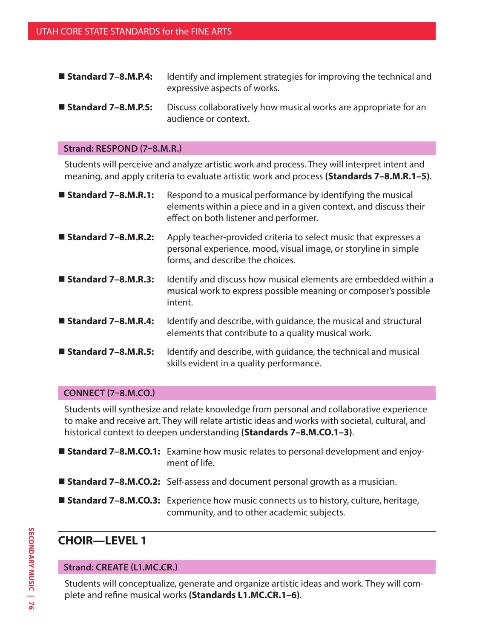| $\blacksquare$ Standard 7-8.M.P.4: | Identify and implement strategies for improving the technical and |
|------------------------------------|-------------------------------------------------------------------|
|                                    | expressive aspects of works.                                      |
| _ _ _ _ _ _ _ _ _ _ _              |                                                                   |

■ **Standard 7–8.M.P.5:** Discuss collaboratively how musical works are appropriate for an audience or context.

#### **Strand: RESPOND (7–8.M.R.)**

Students will perceive and analyze artistic work and process. They will interpret intent and meaning, and apply criteria to evaluate artistic work and process **(Standards 7–8.M.R.1–5)**.

- **Standard 7-8.M.R.1:** Respond to a musical performance by identifying the musical elements within a piece and in a given context, and discuss their effect on both listener and performer.
- **Standard 7–8.M.R.2:** Apply teacher-provided criteria to select music that expresses a personal experience, mood, visual image, or storyline in simple forms, and describe the choices.
- **Standard 7–8.M.R.3:** Identify and discuss how musical elements are embedded within a musical work to express possible meaning or composer's possible intent.
- **Standard 7–8.M.R.4:** Identify and describe, with quidance, the musical and structural elements that contribute to a quality musical work.
- **Standard 7–8.M.R.5:** Identify and describe, with quidance, the technical and musical skills evident in a quality performance.

#### **CONNECT (7–8.M.CO.)**

Students will synthesize and relate knowledge from personal and collaborative experience to make and receive art. They will relate artistic ideas and works with societal, cultural, and historical context to deepen understanding **(Standards 7–8.M.CO.1–3)**.

- **Standard 7–8.M.CO.1:** Examine how music relates to personal development and enjoyment of life.
- **Standard 7–8.M.CO.2:** Self-assess and document personal growth as a musician.
- **Standard 7-8.M.CO.3:** Experience how music connects us to history, culture, heritage, community, and to other academic subjects.

# **CHOIR—LEVEL 1**

#### **Strand: CREATE (L1.MC.CR.)**

Students will conceptualize, generate and organize artistic ideas and work. They will complete and refine musical works **(Standards L1.MC.CR.1–6)**.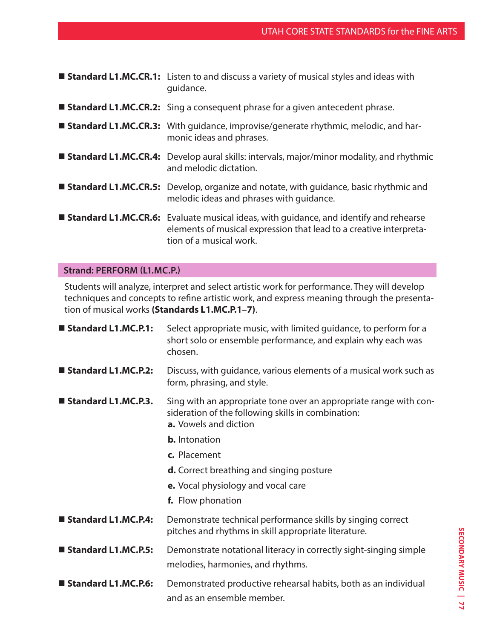<span id="page-29-0"></span>

| <b>Standard L1.MC.CR.1:</b> Listen to and discuss a variety of musical styles and ideas with<br>quidance.                                                                                     |
|-----------------------------------------------------------------------------------------------------------------------------------------------------------------------------------------------|
| <b>Standard L1.MC.CR.2:</b> Sing a consequent phrase for a given antecedent phrase.                                                                                                           |
| <b>Standard L1.MC.CR.3:</b> With guidance, improvise/generate rhythmic, melodic, and har-<br>monic ideas and phrases.                                                                         |
| <b>Standard L1.MC.CR.4:</b> Develop aural skills: intervals, major/minor modality, and rhythmic<br>and melodic dictation.                                                                     |
| <b>Standard L1.MC.CR.5:</b> Develop, organize and notate, with guidance, basic rhythmic and<br>melodic ideas and phrases with quidance.                                                       |
| <b>Standard L1.MC.CR.6:</b> Evaluate musical ideas, with guidance, and identify and rehearse<br>elements of musical expression that lead to a creative interpreta-<br>tion of a musical work. |

#### **Strand: PERFORM (L1.MC.P.)**

Students will analyze, interpret and select artistic work for performance. They will develop techniques and concepts to refine artistic work, and express meaning through the presentation of musical works **(Standards L1.MC.P.1–7)**.

| <b>Standard L1.MC.P.1:</b> | Select appropriate music, with limited guidance, to perform for a<br>short solo or ensemble performance, and explain why each was<br>chosen.     |
|----------------------------|--------------------------------------------------------------------------------------------------------------------------------------------------|
| ■ Standard L1.MC.P.2:      | Discuss, with quidance, various elements of a musical work such as<br>form, phrasing, and style.                                                 |
| <b>Standard L1.MC.P.3.</b> | Sing with an appropriate tone over an appropriate range with con-<br>sideration of the following skills in combination:<br>a. Vowels and diction |
|                            | <b>b.</b> Intonation                                                                                                                             |
|                            | c. Placement                                                                                                                                     |
|                            | <b>d.</b> Correct breathing and singing posture                                                                                                  |
|                            | e. Vocal physiology and vocal care                                                                                                               |
|                            | f. Flow phonation                                                                                                                                |
| ■ Standard L1.MC.P.4:      | Demonstrate technical performance skills by singing correct<br>pitches and rhythms in skill appropriate literature.                              |
| <b>Standard L1.MC.P.5:</b> | Demonstrate notational literacy in correctly sight-singing simple<br>melodies, harmonies, and rhythms.                                           |
| <b>Standard L1.MC.P.6:</b> | Demonstrated productive rehearsal habits, both as an individual<br>and as an ensemble member.                                                    |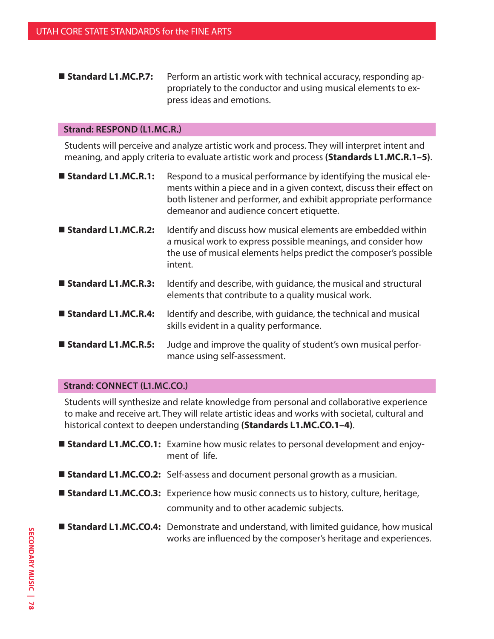■ **Standard L1.MC.P.7:** Perform an artistic work with technical accuracy, responding appropriately to the conductor and using musical elements to express ideas and emotions.

#### **Strand: RESPOND (L1.MC.R.)**

Students will perceive and analyze artistic work and process. They will interpret intent and meaning, and apply criteria to evaluate artistic work and process **(Standards L1.MC.R.1–5)**.

■ **Standard L1.MC.R.1:** Respond to a musical performance by identifying the musical elements within a piece and in a given context, discuss their effect on both listener and performer, and exhibit appropriate performance demeanor and audience concert etiquette. ■ **Standard L1.MC.R.2:** Identify and discuss how musical elements are embedded within a musical work to express possible meanings, and consider how the use of musical elements helps predict the composer's possible intent. ■ **Standard L1.MC.R.3:** Identify and describe, with guidance, the musical and structural elements that contribute to a quality musical work. ■ **Standard L1.MC.R.4:** Identify and describe, with guidance, the technical and musical skills evident in a quality performance. ■ **Standard L1.MC.R.5:** Judge and improve the quality of student's own musical performance using self-assessment.

#### **Strand: CONNECT (L1.MC.CO.)**

Students will synthesize and relate knowledge from personal and collaborative experience to make and receive art. They will relate artistic ideas and works with societal, cultural and historical context to deepen understanding **(Standards L1.MC.CO.1–4)**.

| <b>Standard L1.MC.CO.1:</b> Examine how music relates to personal development and enjoy-<br>ment of life.                                                      |
|----------------------------------------------------------------------------------------------------------------------------------------------------------------|
| <b>Standard L1.MC.CO.2:</b> Self-assess and document personal growth as a musician.                                                                            |
| <b>Standard L1.MC.CO.3:</b> Experience how music connects us to history, culture, heritage,<br>community and to other academic subjects.                       |
| <b>Standard L1.MC.CO.4:</b> Demonstrate and understand, with limited guidance, how musical<br>works are influenced by the composer's heritage and experiences. |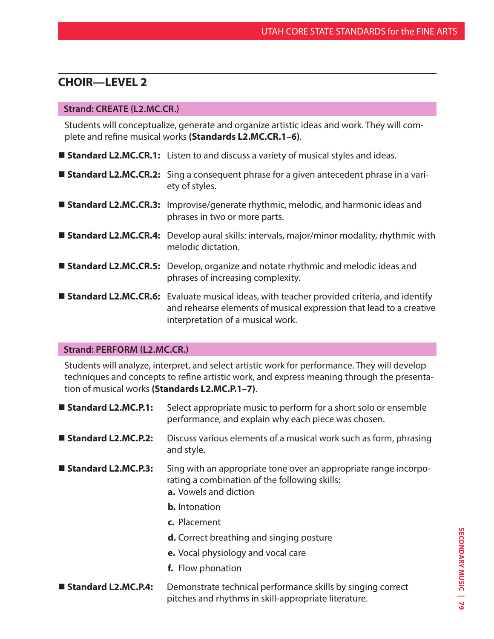# <span id="page-31-0"></span>**CHOIR—LEVEL 2**

#### **Strand: CREATE (L2.MC.CR.)**

Students will conceptualize, generate and organize artistic ideas and work. They will complete and refine musical works **(Standards L2.MC.CR.1–6)**.

- **Standard L2.MC.CR.1:** Listen to and discuss a variety of musical styles and ideas.
- **Standard L2.MC.CR.2:** Sing a consequent phrase for a given antecedent phrase in a variety of styles.
- **Standard L2.MC.CR.3:** Improvise/generate rhythmic, melodic, and harmonic ideas and phrases in two or more parts.
- **Standard L2.MC.CR.4:** Develop aural skills: intervals, major/minor modality, rhythmic with melodic dictation.
- **Standard L2.MC.CR.5:** Develop, organize and notate rhythmic and melodic ideas and phrases of increasing complexity.
- **Standard L2.MC.CR.6:** Evaluate musical ideas, with teacher provided criteria, and identify and rehearse elements of musical expression that lead to a creative interpretation of a musical work.

#### **Strand: PERFORM (L2.MC.CR.)**

Students will analyze, interpret, and select artistic work for performance. They will develop techniques and concepts to refine artistic work, and express meaning through the presentation of musical works **(Standards L2.MC.P.1–7)**.

| ■ Standard L2.MC.P.1:      | Select appropriate music to perform for a short solo or ensemble<br>performance, and explain why each piece was chosen.                    |
|----------------------------|--------------------------------------------------------------------------------------------------------------------------------------------|
| <b>Standard L2.MC.P.2:</b> | Discuss various elements of a musical work such as form, phrasing<br>and style.                                                            |
| <b>Standard L2.MC.P.3:</b> | Sing with an appropriate tone over an appropriate range incorpo-<br>rating a combination of the following skills:<br>a. Vowels and diction |
|                            | <b>b.</b> Intonation                                                                                                                       |
|                            | c. Placement                                                                                                                               |
|                            | <b>d.</b> Correct breathing and singing posture                                                                                            |
|                            | <b>e.</b> Vocal physiology and vocal care                                                                                                  |
|                            | f. Flow phonation                                                                                                                          |
| <b>Standard L2.MC.P.4:</b> | Demonstrate technical performance skills by singing correct<br>pitches and rhythms in skill-appropriate literature.                        |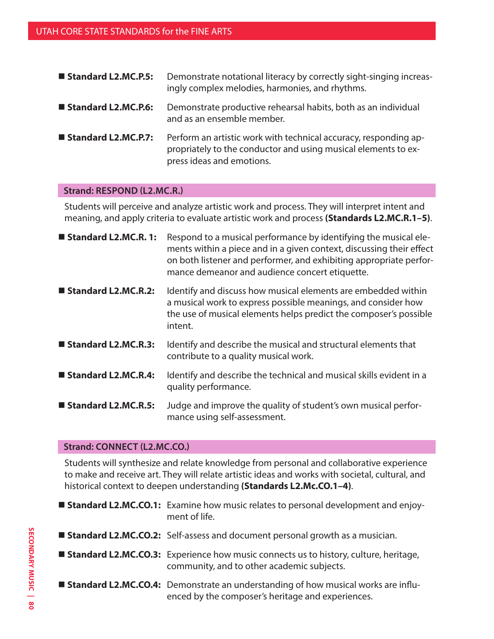| <b>Standard L2.MC.P.5:</b> | Demonstrate notational literacy by correctly sight-singing increas-<br>ingly complex melodies, harmonies, and rhythms.                                          |
|----------------------------|-----------------------------------------------------------------------------------------------------------------------------------------------------------------|
| <b>Standard L2.MC.P.6:</b> | Demonstrate productive rehearsal habits, both as an individual<br>and as an ensemble member.                                                                    |
| <b>Standard L2.MC.P.7:</b> | Perform an artistic work with technical accuracy, responding ap-<br>propriately to the conductor and using musical elements to ex-<br>press ideas and emotions. |

#### **Strand: RESPOND (L2.MC.R.)**

Students will perceive and analyze artistic work and process. They will interpret intent and meaning, and apply criteria to evaluate artistic work and process **(Standards L2.MC.R.1–5)**.

| <b>Standard L2.MC.R.1:</b> | Respond to a musical performance by identifying the musical ele-<br>ments within a piece and in a given context, discussing their effect<br>on both listener and performer, and exhibiting appropriate perfor-<br>mance demeanor and audience concert etiquette. |
|----------------------------|------------------------------------------------------------------------------------------------------------------------------------------------------------------------------------------------------------------------------------------------------------------|
| ■ Standard L2.MC.R.2:      | Identify and discuss how musical elements are embedded within<br>a musical work to express possible meanings, and consider how<br>the use of musical elements helps predict the composer's possible<br>intent.                                                   |
| <b>Standard L2.MC.R.3:</b> | Identify and describe the musical and structural elements that<br>contribute to a quality musical work.                                                                                                                                                          |
| <b>Standard L2.MC.R.4:</b> | Identify and describe the technical and musical skills evident in a<br>quality performance.                                                                                                                                                                      |
| <b>Standard L2.MC.R.5:</b> | Judge and improve the quality of student's own musical perfor-<br>mance using self-assessment.                                                                                                                                                                   |

#### **Strand: CONNECT (L2.MC.CO.)**

Students will synthesize and relate knowledge from personal and collaborative experience to make and receive art. They will relate artistic ideas and works with societal, cultural, and historical context to deepen understanding **(Standards L2.Mc.CO.1–4)**.

 **Standard L2.MC.CO.1:** Examine how music relates to personal development and enjoyment of life. ■ **Standard L2.MC.CO.2:** Self-assess and document personal growth as a musician. ■ **Standard L2.MC.CO.3:** Experience how music connects us to history, culture, heritage, community, and to other academic subjects. ■ **Standard L2.MC.CO.4:** Demonstrate an understanding of how musical works are influenced by the composer's heritage and experiences.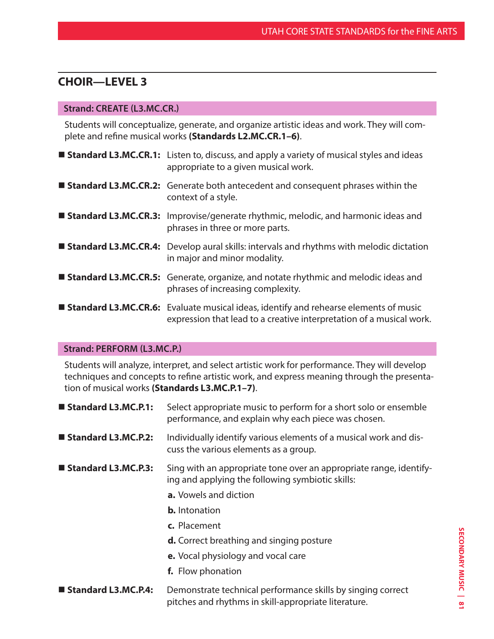# <span id="page-33-0"></span>**CHOIR—LEVEL 3**

#### **Strand: CREATE (L3.MC.CR.)**

Students will conceptualize, generate, and organize artistic ideas and work. They will complete and refine musical works **(Standards L2.MC.CR.1–6)**.

| <b>Example 13.MC.CR.1:</b> Listen to, discuss, and apply a variety of musical styles and ideas<br>appropriate to a given musical work.                              |
|---------------------------------------------------------------------------------------------------------------------------------------------------------------------|
| <b>Standard L3.MC.CR.2:</b> Generate both antecedent and consequent phrases within the<br>context of a style.                                                       |
| <b>Example 13.MC.CR.3:</b> Improvise/generate rhythmic, melodic, and harmonic ideas and<br>phrases in three or more parts.                                          |
| <b>Standard L3.MC.CR.4:</b> Develop aural skills: intervals and rhythms with melodic dictation<br>in major and minor modality.                                      |
| <b>Example 13.MC.CR.5:</b> Generate, organize, and notate rhythmic and melodic ideas and<br>phrases of increasing complexity.                                       |
| <b>Standard L3.MC.CR.6:</b> Evaluate musical ideas, identify and rehearse elements of music<br>expression that lead to a creative interpretation of a musical work. |

#### **Strand: PERFORM (L3.MC.P.)**

Students will analyze, interpret, and select artistic work for performance. They will develop techniques and concepts to refine artistic work, and express meaning through the presentation of musical works **(Standards L3.MC.P.1–7)**.

| ■ Standard L3.MC.P.1: | Select appropriate music to perform for a short solo or ensemble<br>performance, and explain why each piece was chosen. |
|-----------------------|-------------------------------------------------------------------------------------------------------------------------|
| ■ Standard L3.MC.P.2: | Individually identify various elements of a musical work and dis-<br>cuss the various elements as a group.              |
| ■ Standard L3.MC.P.3: | Sing with an appropriate tone over an appropriate range, identify-<br>ing and applying the following symbiotic skills:  |
|                       | <b>a.</b> Vowels and diction                                                                                            |
|                       | <b>b.</b> Intonation                                                                                                    |
|                       | c. Placement                                                                                                            |
|                       | <b>d.</b> Correct breathing and singing posture                                                                         |
|                       | e. Vocal physiology and vocal care                                                                                      |
|                       | <b>f.</b> Flow phonation                                                                                                |
| ■ Standard L3.MC.P.4: | Demonstrate technical performance skills by singing correct<br>pitches and rhythms in skill-appropriate literature.     |

SECONDARY MUSIC | 81 **SECONDARY MUSIC | 81**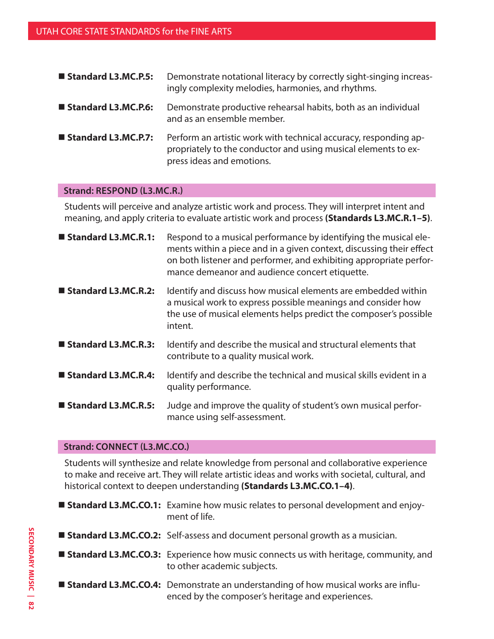| <b>Standard L3.MC.P.5:</b> | Demonstrate notational literacy by correctly sight-singing increas-<br>ingly complexity melodies, harmonies, and rhythms.                                       |
|----------------------------|-----------------------------------------------------------------------------------------------------------------------------------------------------------------|
| <b>Standard L3.MC.P.6:</b> | Demonstrate productive rehearsal habits, both as an individual<br>and as an ensemble member.                                                                    |
| <b>Standard L3.MC.P.7:</b> | Perform an artistic work with technical accuracy, responding ap-<br>propriately to the conductor and using musical elements to ex-<br>press ideas and emotions. |

#### **Strand: RESPOND (L3.MC.R.)**

Students will perceive and analyze artistic work and process. They will interpret intent and meaning, and apply criteria to evaluate artistic work and process **(Standards L3.MC.R.1–5)**.

| <b>Standard L3.MC.R.1:</b> | Respond to a musical performance by identifying the musical ele-<br>ments within a piece and in a given context, discussing their effect<br>on both listener and performer, and exhibiting appropriate perfor-<br>mance demeanor and audience concert etiquette. |
|----------------------------|------------------------------------------------------------------------------------------------------------------------------------------------------------------------------------------------------------------------------------------------------------------|
| <b>Standard L3.MC.R.2:</b> | Identify and discuss how musical elements are embedded within<br>a musical work to express possible meanings and consider how<br>the use of musical elements helps predict the composer's possible<br>intent.                                                    |
| <b>Standard L3.MC.R.3:</b> | Identify and describe the musical and structural elements that<br>contribute to a quality musical work.                                                                                                                                                          |
| <b>Standard L3.MC.R.4:</b> | Identify and describe the technical and musical skills evident in a<br>quality performance.                                                                                                                                                                      |
| <b>Standard L3.MC.R.5:</b> | Judge and improve the quality of student's own musical perfor-<br>mance using self-assessment.                                                                                                                                                                   |

#### **Strand: CONNECT (L3.MC.CO.)**

Students will synthesize and relate knowledge from personal and collaborative experience to make and receive art. They will relate artistic ideas and works with societal, cultural, and historical context to deepen understanding **(Standards L3.MC.CO.1–4)**.

 **Standard L3.MC.CO.1:** Examine how music relates to personal development and enjoyment of life. ■ **Standard L3.MC.CO.2:** Self-assess and document personal growth as a musician. ■ **Standard L3.MC.CO.3:** Experience how music connects us with heritage, community, and to other academic subjects. ■ **Standard L3.MC.CO.4:** Demonstrate an understanding of how musical works are influenced by the composer's heritage and experiences.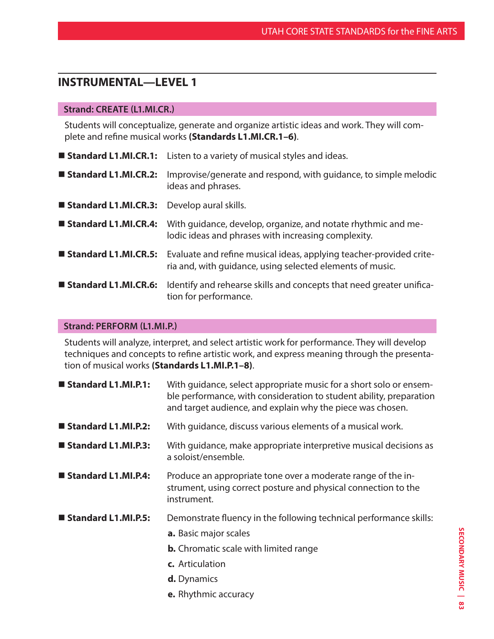# <span id="page-35-0"></span>**INSTRUMENTAL—LEVEL 1**

#### **Strand: CREATE (L1.MI.CR.)**

Students will conceptualize, generate and organize artistic ideas and work. They will complete and refine musical works **(Standards L1.MI.CR.1–6)**.

|                                                   | <b>Standard L1.MI.CR.1:</b> Listen to a variety of musical styles and ideas.                                                                                 |
|---------------------------------------------------|--------------------------------------------------------------------------------------------------------------------------------------------------------------|
| <b>Standard L1.MI.CR.2:</b>                       | Improvise/generate and respond, with guidance, to simple melodic<br>ideas and phrases.                                                                       |
| <b>Standard L1.MI.CR.3:</b> Develop aural skills. |                                                                                                                                                              |
| <b>Standard L1.MI.CR.4:</b>                       | With guidance, develop, organize, and notate rhythmic and me-<br>lodic ideas and phrases with increasing complexity.                                         |
|                                                   | <b>Standard L1.MI.CR.5:</b> Evaluate and refine musical ideas, applying teacher-provided crite-<br>ria and, with quidance, using selected elements of music. |
| <b>Standard L1.MI.CR.6:</b>                       | Identify and rehearse skills and concepts that need greater unifica-<br>tion for performance.                                                                |

#### **Strand: PERFORM (L1.MI.P.)**

Students will analyze, interpret, and select artistic work for performance. They will develop techniques and concepts to refine artistic work, and express meaning through the presentation of musical works **(Standards L1.MI.P.1–8)**.

| <b>Standard L1.MI.P.1:</b> | With guidance, select appropriate music for a short solo or ensem-<br>ble performance, with consideration to student ability, preparation<br>and target audience, and explain why the piece was chosen.             |
|----------------------------|---------------------------------------------------------------------------------------------------------------------------------------------------------------------------------------------------------------------|
| <b>Standard L1.MI.P.2:</b> | With quidance, discuss various elements of a musical work.                                                                                                                                                          |
| <b>Standard L1.MI.P.3:</b> | With guidance, make appropriate interpretive musical decisions as<br>a soloist/ensemble.                                                                                                                            |
| <b>Standard L1.MI.P.4:</b> | Produce an appropriate tone over a moderate range of the in-<br>strument, using correct posture and physical connection to the<br>instrument.                                                                       |
| <b>Standard L1.MI.P.5:</b> | Demonstrate fluency in the following technical performance skills:<br><b>a.</b> Basic major scales<br><b>b.</b> Chromatic scale with limited range<br>c. Articulation<br><b>d.</b> Dynamics<br>e. Rhythmic accuracy |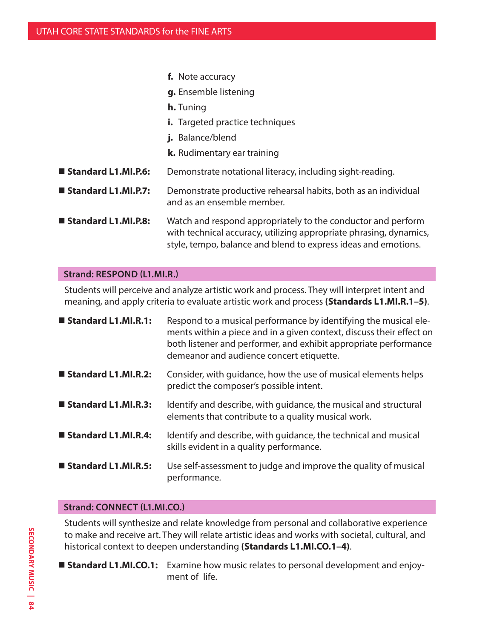|                            | f. Note accuracy                                                                                                                                                                                     |
|----------------------------|------------------------------------------------------------------------------------------------------------------------------------------------------------------------------------------------------|
|                            | g. Ensemble listening                                                                                                                                                                                |
|                            | <b>h.</b> Tuning                                                                                                                                                                                     |
|                            | <b>i.</b> Targeted practice techniques                                                                                                                                                               |
|                            | <b>j.</b> Balance/blend                                                                                                                                                                              |
|                            | k. Rudimentary ear training                                                                                                                                                                          |
| <b>Standard L1.MI.P.6:</b> | Demonstrate notational literacy, including sight-reading.                                                                                                                                            |
| <b>Standard L1.MI.P.7:</b> | Demonstrate productive rehearsal habits, both as an individual<br>and as an ensemble member.                                                                                                         |
| <b>Standard L1.MI.P.8:</b> | Watch and respond appropriately to the conductor and perform<br>with technical accuracy, utilizing appropriate phrasing, dynamics,<br>style, tempo, balance and blend to express ideas and emotions. |

#### **Strand: RESPOND (L1.MI.R.)**

Students will perceive and analyze artistic work and process. They will interpret intent and meaning, and apply criteria to evaluate artistic work and process **(Standards L1.MI.R.1–5)**.

| <b>Standard L1.MI.R.1:</b> | Respond to a musical performance by identifying the musical ele-<br>ments within a piece and in a given context, discuss their effect on<br>both listener and performer, and exhibit appropriate performance<br>demeanor and audience concert etiquette. |
|----------------------------|----------------------------------------------------------------------------------------------------------------------------------------------------------------------------------------------------------------------------------------------------------|
| <b>Standard L1.MI.R.2:</b> | Consider, with guidance, how the use of musical elements helps<br>predict the composer's possible intent.                                                                                                                                                |
| <b>Standard L1.MI.R.3:</b> | Identify and describe, with quidance, the musical and structural<br>elements that contribute to a quality musical work.                                                                                                                                  |
| <b>Standard L1.MI.R.4:</b> | Identify and describe, with guidance, the technical and musical<br>skills evident in a quality performance.                                                                                                                                              |
| <b>Standard L1.MI.R.5:</b> | Use self-assessment to judge and improve the quality of musical<br>performance.                                                                                                                                                                          |

#### **Strand: CONNECT (L1.MI.CO.)**

Students will synthesize and relate knowledge from personal and collaborative experience to make and receive art. They will relate artistic ideas and works with societal, cultural, and historical context to deepen understanding **(Standards L1.MI.CO.1–4)**.

 **Standard L1.MI.CO.1:** Examine how music relates to personal development and enjoyment of life.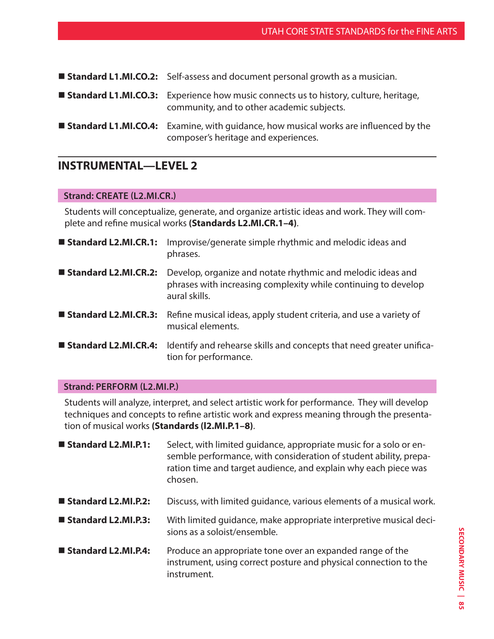<span id="page-37-0"></span>

| <b>Standard L1.MI.CO.2:</b> Self-assess and document personal growth as a musician.                                                       |
|-------------------------------------------------------------------------------------------------------------------------------------------|
| <b>Standard L1.MI.CO.3:</b> Experience how music connects us to history, culture, heritage,<br>community, and to other academic subjects. |
| <b>Standard L1.MI.CO.4:</b> Examine, with quidance, how musical works are influenced by the<br>composer's heritage and experiences.       |

# **INSTRUMENTAL—LEVEL 2**

#### **Strand: CREATE (L2.MI.CR.)**

Students will conceptualize, generate, and organize artistic ideas and work. They will complete and refine musical works **(Standards L2.MI.CR.1–4)**.

| <b>Standard L2.MI.CR.1:</b> | Improvise/generate simple rhythmic and melodic ideas and<br>phrases.                                                                           |
|-----------------------------|------------------------------------------------------------------------------------------------------------------------------------------------|
| <b>Standard L2.MI.CR.2:</b> | Develop, organize and notate rhythmic and melodic ideas and<br>phrases with increasing complexity while continuing to develop<br>aural skills. |
|                             | <b>Standard L2.MI.CR.3:</b> Refine musical ideas, apply student criteria, and use a variety of<br>musical elements.                            |
|                             | <b>E</b> Standard L2.MI.CR.4: Identify and rehearse skills and concepts that need greater unifica-<br>tion for performance.                    |

#### **Strand: PERFORM (L2.MI.P.)**

Students will analyze, interpret, and select artistic work for performance. They will develop techniques and concepts to refine artistic work and express meaning through the presentation of musical works **(Standards (l2.MI.P.1–8)**.

| <b>Standard L2.MI.P.1:</b> | Select, with limited quidance, appropriate music for a solo or en-<br>semble performance, with consideration of student ability, prepa-<br>ration time and target audience, and explain why each piece was<br>chosen. |
|----------------------------|-----------------------------------------------------------------------------------------------------------------------------------------------------------------------------------------------------------------------|
| <b>Standard L2.MI.P.2:</b> | Discuss, with limited guidance, various elements of a musical work.                                                                                                                                                   |
| <b>Standard L2.MI.P.3:</b> | With limited guidance, make appropriate interpretive musical deci-<br>sions as a soloist/ensemble.                                                                                                                    |
| <b>Standard L2.MI.P.4:</b> | Produce an appropriate tone over an expanded range of the<br>instrument, using correct posture and physical connection to the<br>instrument.                                                                          |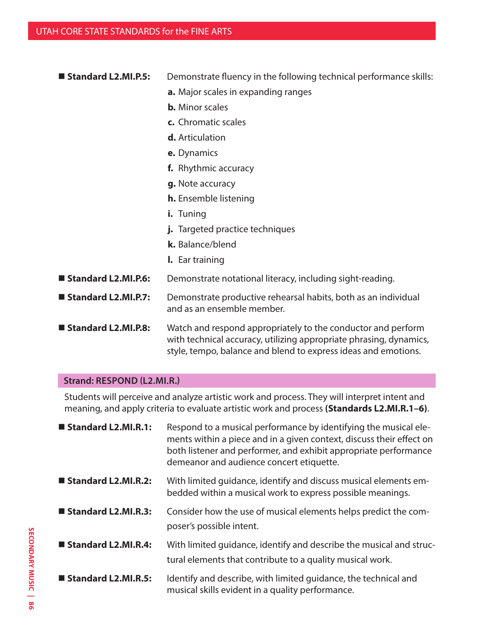| <b>Standard L2.MI.P.5:</b> | Demonstrate fluency in the following technical performance skills:                                                                                                                                   |
|----------------------------|------------------------------------------------------------------------------------------------------------------------------------------------------------------------------------------------------|
|                            | <b>a.</b> Major scales in expanding ranges                                                                                                                                                           |
|                            | <b>b.</b> Minor scales                                                                                                                                                                               |
|                            | c. Chromatic scales                                                                                                                                                                                  |
|                            | <b>d.</b> Articulation                                                                                                                                                                               |
|                            | e. Dynamics                                                                                                                                                                                          |
|                            | f. Rhythmic accuracy                                                                                                                                                                                 |
|                            | g. Note accuracy                                                                                                                                                                                     |
|                            | <b>h.</b> Ensemble listening                                                                                                                                                                         |
|                            | <b>i.</b> Tuning                                                                                                                                                                                     |
|                            | j. Targeted practice techniques                                                                                                                                                                      |
|                            | k. Balance/blend                                                                                                                                                                                     |
|                            | <b>I.</b> Ear training                                                                                                                                                                               |
| Standard L2.MI.P.6:        | Demonstrate notational literacy, including sight-reading.                                                                                                                                            |
| <b>Standard L2.MI.P.7:</b> | Demonstrate productive rehearsal habits, both as an individual<br>and as an ensemble member.                                                                                                         |
| <b>Standard L2.MI.P.8:</b> | Watch and respond appropriately to the conductor and perform<br>with technical accuracy, utilizing appropriate phrasing, dynamics,<br>style, tempo, balance and blend to express ideas and emotions. |

### **Strand: RESPOND (L2.MI.R.)**

Students will perceive and analyze artistic work and process. They will interpret intent and meaning, and apply criteria to evaluate artistic work and process **(Standards L2.MI.R.1–6)**.

| <b>Standard L2.MI.R.1:</b> | Respond to a musical performance by identifying the musical ele-<br>ments within a piece and in a given context, discuss their effect on<br>both listener and performer, and exhibit appropriate performance<br>demeanor and audience concert etiquette. |
|----------------------------|----------------------------------------------------------------------------------------------------------------------------------------------------------------------------------------------------------------------------------------------------------|
| <b>Standard L2.MI.R.2:</b> | With limited quidance, identify and discuss musical elements em-<br>bedded within a musical work to express possible meanings.                                                                                                                           |
| <b>Standard L2.MI.R.3:</b> | Consider how the use of musical elements helps predict the com-<br>poser's possible intent.                                                                                                                                                              |
| <b>Standard L2.MI.R.4:</b> | With limited guidance, identify and describe the musical and struc-<br>tural elements that contribute to a quality musical work.                                                                                                                         |
| <b>Standard L2.MI.R.5:</b> | Identify and describe, with limited guidance, the technical and<br>musical skills evident in a quality performance.                                                                                                                                      |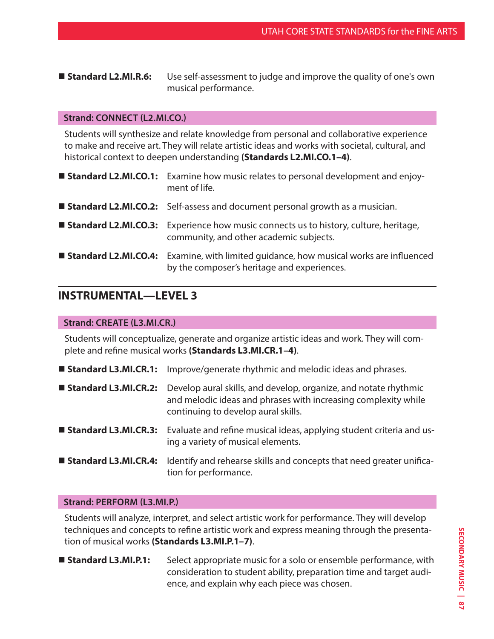#### <span id="page-39-0"></span>**Standard L2.MI.R.6:** Use self-assessment to judge and improve the quality of one's own musical performance.

#### **Strand: CONNECT (L2.MI.CO.)**

Students will synthesize and relate knowledge from personal and collaborative experience to make and receive art. They will relate artistic ideas and works with societal, cultural, and historical context to deepen understanding **(Standards L2.MI.CO.1–4)**.

| <b>Standard L2.MI.CO.1:</b> Examine how music relates to personal development and enjoy-<br>ment of life.                                   |
|---------------------------------------------------------------------------------------------------------------------------------------------|
| <b>Standard L2.MI.CO.2:</b> Self-assess and document personal growth as a musician.                                                         |
| <b>Standard L2.MI.CO.3:</b> Experience how music connects us to history, culture, heritage,<br>community, and other academic subjects.      |
| <b>Standard L2.MI.CO.4:</b> Examine, with limited guidance, how musical works are influenced<br>by the composer's heritage and experiences. |

### **INSTRUMENTAL—LEVEL 3**

#### **Strand: CREATE (L3.MI.CR.)**

Students will conceptualize, generate and organize artistic ideas and work. They will complete and refine musical works **(Standards L3.MI.CR.1–4)**.

- **Standard L3.MI.CR.1:** Improve/generate rhythmic and melodic ideas and phrases.
- **Standard L3.MI.CR.2:** Develop aural skills, and develop, organize, and notate rhythmic and melodic ideas and phrases with increasing complexity while continuing to develop aural skills.
- **Standard L3.MI.CR.3:** Evaluate and refine musical ideas, applying student criteria and using a variety of musical elements.
- **Standard L3.MI.CR.4:** Identify and rehearse skills and concepts that need greater unification for performance.

#### **Strand: PERFORM (L3.MI.P.)**

Students will analyze, interpret, and select artistic work for performance. They will develop techniques and concepts to refine artistic work and express meaning through the presentation of musical works **(Standards L3.MI.P.1–7)**.

**Standard L3.MI.P.1:** Select appropriate music for a solo or ensemble performance, with consideration to student ability, preparation time and target audience, and explain why each piece was chosen.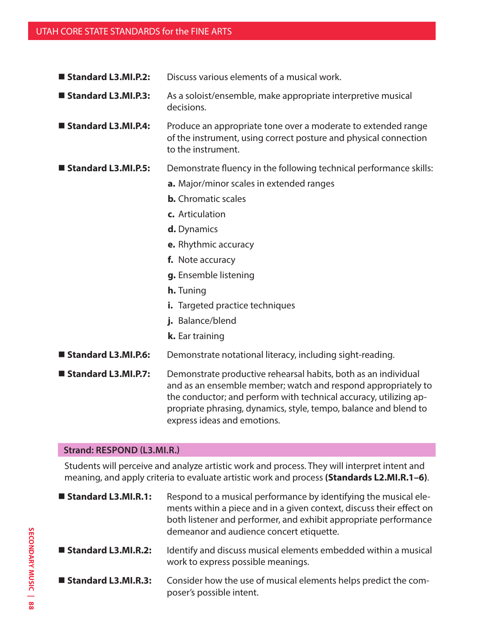- **Standard L3.MI.P.2:** Discuss various elements of a musical work.
- **Standard L3.MI.P.3:** As a soloist/ensemble, make appropriate interpretive musical decisions.
- **Standard L3.MI.P.4:** Produce an appropriate tone over a moderate to extended range of the instrument, using correct posture and physical connection to the instrument.
- **Standard L3.MI.P.5:** Demonstrate fluency in the following technical performance skills:
	- **a.** Major/minor scales in extended ranges
	- **b.** Chromatic scales
	- **c.** Articulation
	- **d.** Dynamics
	- **e.** Rhythmic accuracy
	- **f.** Note accuracy
	- **g.** Ensemble listening
	- **h.** Tuning
	- **i.** Targeted practice techniques
	- **j.** Balance/blend
	- **k.** Ear training
- **Standard L3.MI.P.6:** Demonstrate notational literacy, including sight-reading.

■ **Standard L3.MI.P.7:** Demonstrate productive rehearsal habits, both as an individual and as an ensemble member; watch and respond appropriately to the conductor; and perform with technical accuracy, utilizing appropriate phrasing, dynamics, style, tempo, balance and blend to express ideas and emotions.

#### **Strand: RESPOND (L3.MI.R.)**

Students will perceive and analyze artistic work and process. They will interpret intent and meaning, and apply criteria to evaluate artistic work and process **(Standards L2.MI.R.1–6)**.

**Standard L3.MI.R.1:** Respond to a musical performance by identifying the musical elements within a piece and in a given context, discuss their effect on both listener and performer, and exhibit appropriate performance demeanor and audience concert etiquette. ■ **Standard L3.MI.R.2:** Identify and discuss musical elements embedded within a musical work to express possible meanings. ■ **Standard L3.MI.R.3:** Consider how the use of musical elements helps predict the composer's possible intent.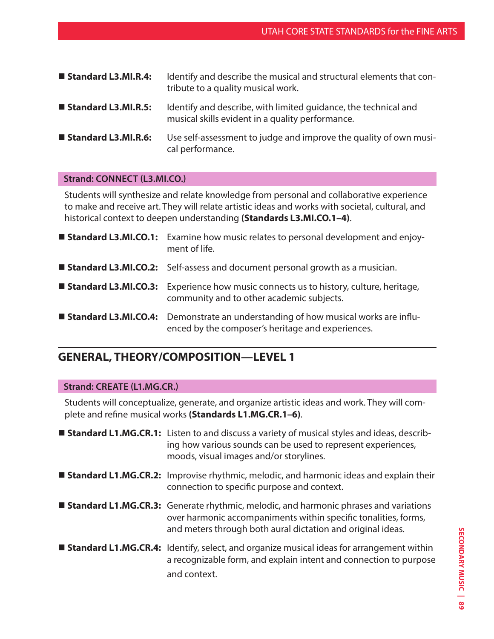<span id="page-41-0"></span>

| <b>Standard L3.MI.R.4:</b>         | Identify and describe the musical and structural elements that con-<br>tribute to a quality musical work.           |
|------------------------------------|---------------------------------------------------------------------------------------------------------------------|
| $\blacksquare$ Standard L3.MI.R.5: | Identify and describe, with limited guidance, the technical and<br>musical skills evident in a quality performance. |
| <b>Standard L3.MI.R.6:</b>         | Use self-assessment to judge and improve the quality of own musi-<br>cal performance.                               |

#### **Strand: CONNECT (L3.MI.CO.)**

Students will synthesize and relate knowledge from personal and collaborative experience to make and receive art. They will relate artistic ideas and works with societal, cultural, and historical context to deepen understanding **(Standards L3.MI.CO.1–4)**.

| <b>Standard L3.MI.CO.1:</b> Examine how music relates to personal development and enjoy-<br>ment of life.                                     |
|-----------------------------------------------------------------------------------------------------------------------------------------------|
| <b>Standard L3.MI.CO.2:</b> Self-assess and document personal growth as a musician.                                                           |
| <b>Standard L3.MI.CO.3:</b> Experience how music connects us to history, culture, heritage,<br>community and to other academic subjects.      |
| <b>Standard L3.MI.CO.4:</b> Demonstrate an understanding of how musical works are influ-<br>enced by the composer's heritage and experiences. |

# **GENERAL, THEORY/COMPOSITION—LEVEL 1**

#### **Strand: CREATE (L1.MG.CR.)**

Students will conceptualize, generate, and organize artistic ideas and work. They will complete and refine musical works **(Standards L1.MG.CR.1–6)**.

| <b>Standard L1.MG.CR.1:</b> Listen to and discuss a variety of musical styles and ideas, describ-<br>ing how various sounds can be used to represent experiences,<br>moods, visual images and/or storylines.                    |
|---------------------------------------------------------------------------------------------------------------------------------------------------------------------------------------------------------------------------------|
| <b>Standard L1.MG.CR.2:</b> Improvise rhythmic, melodic, and harmonic ideas and explain their<br>connection to specific purpose and context.                                                                                    |
| <b>E</b> Standard L1.MG.CR.3: Generate rhythmic, melodic, and harmonic phrases and variations<br>over harmonic accompaniments within specific tonalities, forms,<br>and meters through both aural dictation and original ideas. |
| <b>Standard L1.MG.CR.4:</b> Identify, select, and organize musical ideas for arrangement within<br>a recognizable form, and explain intent and connection to purpose<br>and context.                                            |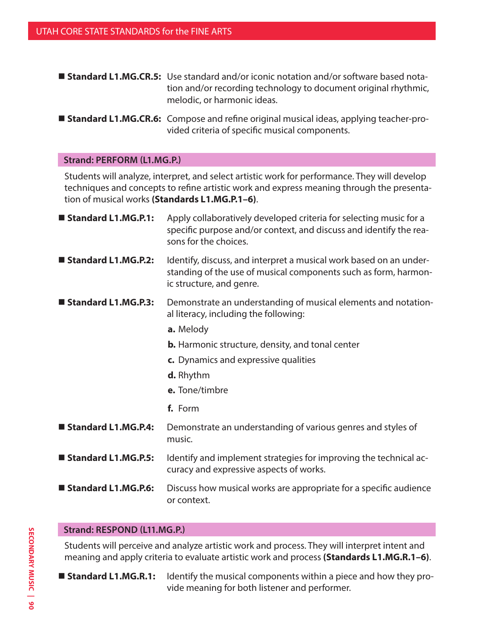- **Standard L1.MG.CR.5:** Use standard and/or iconic notation and/or software based notation and/or recording technology to document original rhythmic, melodic, or harmonic ideas.
- **Standard L1.MG.CR.6:** Compose and refine original musical ideas, applying teacher-provided criteria of specific musical components.

#### **Strand: PERFORM (L1.MG.P.)**

Students will analyze, interpret, and select artistic work for performance. They will develop techniques and concepts to refine artistic work and express meaning through the presentation of musical works **(Standards L1.MG.P.1–6)**.

| <b>Standard L1.MG.P.1:</b> | Apply collaboratively developed criteria for selecting music for a<br>specific purpose and/or context, and discuss and identify the rea-<br>sons for the choices.                                                                                                        |
|----------------------------|--------------------------------------------------------------------------------------------------------------------------------------------------------------------------------------------------------------------------------------------------------------------------|
| ■ Standard L1.MG.P.2:      | Identify, discuss, and interpret a musical work based on an under-<br>standing of the use of musical components such as form, harmon-<br>ic structure, and genre.                                                                                                        |
| Standard L1.MG.P.3:        | Demonstrate an understanding of musical elements and notation-<br>al literacy, including the following:<br>a. Melody<br><b>b.</b> Harmonic structure, density, and tonal center<br>c. Dynamics and expressive qualities<br><b>d.</b> Rhythm<br>e. Tone/timbre<br>f. Form |
| <b>Standard L1.MG.P.4:</b> | Demonstrate an understanding of various genres and styles of                                                                                                                                                                                                             |
|                            | music.                                                                                                                                                                                                                                                                   |
| <b>Standard L1.MG.P.5:</b> | Identify and implement strategies for improving the technical ac-<br>curacy and expressive aspects of works.                                                                                                                                                             |
| <b>Standard L1.MG.P.6:</b> | Discuss how musical works are appropriate for a specific audience<br>or context.                                                                                                                                                                                         |
|                            |                                                                                                                                                                                                                                                                          |

#### **Strand: RESPOND (L11.MG.P.)**

Students will perceive and analyze artistic work and process. They will interpret intent and meaning and apply criteria to evaluate artistic work and process **(Standards L1.MG.R.1–6)**.

**Standard L1.MG.R.1:** Identify the musical components within a piece and how they provide meaning for both listener and performer.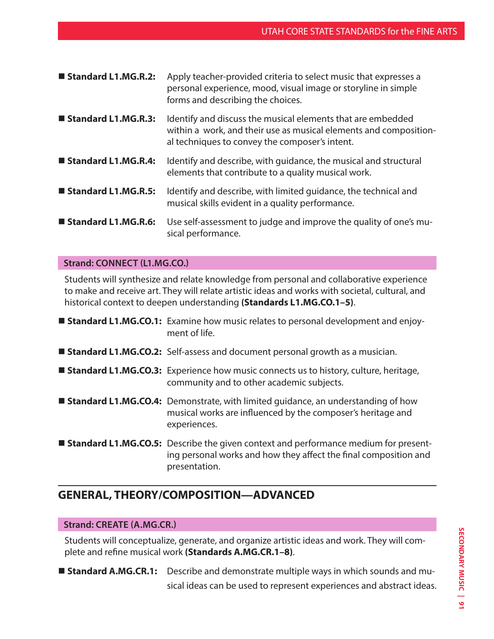<span id="page-43-0"></span>

| <b>Standard L1.MG.R.2:</b> | Apply teacher-provided criteria to select music that expresses a<br>personal experience, mood, visual image or storyline in simple<br>forms and describing the choices.            |
|----------------------------|------------------------------------------------------------------------------------------------------------------------------------------------------------------------------------|
| <b>Standard L1.MG.R.3:</b> | Identify and discuss the musical elements that are embedded<br>within a work, and their use as musical elements and composition-<br>al techniques to convey the composer's intent. |
| <b>Standard L1.MG.R.4:</b> | Identify and describe, with guidance, the musical and structural<br>elements that contribute to a quality musical work.                                                            |
| <b>Standard L1.MG.R.5:</b> | Identify and describe, with limited guidance, the technical and<br>musical skills evident in a quality performance.                                                                |
| <b>Standard L1.MG.R.6:</b> | Use self-assessment to judge and improve the quality of one's mu-<br>sical performance.                                                                                            |

#### **Strand: CONNECT (L1.MG.CO.)**

Students will synthesize and relate knowledge from personal and collaborative experience to make and receive art. They will relate artistic ideas and works with societal, cultural, and historical context to deepen understanding **(Standards L1.MG.CO.1–5)**.

- **Standard L1.MG.CO.1:** Examine how music relates to personal development and enjoyment of life.
- **Standard L1.MG.CO.2:** Self-assess and document personal growth as a musician.
- **Standard L1.MG.CO.3:** Experience how music connects us to history, culture, heritage, community and to other academic subjects.
- **Standard L1.MG.CO.4:** Demonstrate, with limited guidance, an understanding of how musical works are influenced by the composer's heritage and experiences.
- **Standard L1.MG.CO.5:** Describe the given context and performance medium for presenting personal works and how they affect the final composition and presentation.

# **GENERAL, THEORY/COMPOSITION—ADVANCED**

#### **Strand: CREATE (A.MG.CR.)**

Students will conceptualize, generate, and organize artistic ideas and work. They will complete and refine musical work **(Standards A.MG.CR.1–8)**.

■ **Standard A.MG.CR.1:** Describe and demonstrate multiple ways in which sounds and musical ideas can be used to represent experiences and abstract ideas.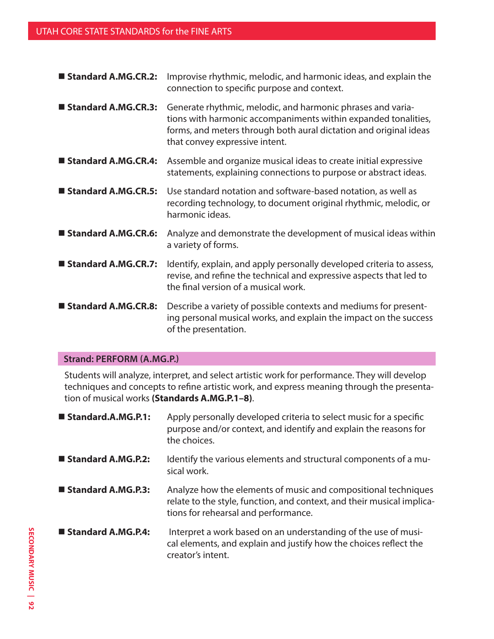#### UTAH CORE STATE STANDARDS for the FINE ARTS

| <b>Standard A.MG.CR.2:</b> | Improvise rhythmic, melodic, and harmonic ideas, and explain the<br>connection to specific purpose and context.                                                                                                                      |
|----------------------------|--------------------------------------------------------------------------------------------------------------------------------------------------------------------------------------------------------------------------------------|
| ■ Standard A.MG.CR.3:      | Generate rhythmic, melodic, and harmonic phrases and varia-<br>tions with harmonic accompaniments within expanded tonalities,<br>forms, and meters through both aural dictation and original ideas<br>that convey expressive intent. |
| <b>Standard A.MG.CR.4:</b> | Assemble and organize musical ideas to create initial expressive<br>statements, explaining connections to purpose or abstract ideas.                                                                                                 |
| <b>Standard A.MG.CR.5:</b> | Use standard notation and software-based notation, as well as<br>recording technology, to document original rhythmic, melodic, or<br>harmonic ideas.                                                                                 |
| <b>Standard A.MG.CR.6:</b> | Analyze and demonstrate the development of musical ideas within<br>a variety of forms.                                                                                                                                               |
| <b>Standard A.MG.CR.7:</b> | Identify, explain, and apply personally developed criteria to assess,<br>revise, and refine the technical and expressive aspects that led to<br>the final version of a musical work.                                                 |
| <b>Standard A.MG.CR.8:</b> | Describe a variety of possible contexts and mediums for present-<br>ing personal musical works, and explain the impact on the success<br>of the presentation.                                                                        |

#### **Strand: PERFORM (A.MG.P.)**

Students will analyze, interpret, and select artistic work for performance. They will develop techniques and concepts to refine artistic work, and express meaning through the presentation of musical works **(Standards A.MG.P.1–8)**.

| <b>Standard.A.MG.P.1:</b> | Apply personally developed criteria to select music for a specific<br>purpose and/or context, and identify and explain the reasons for<br>the choices.                           |
|---------------------------|----------------------------------------------------------------------------------------------------------------------------------------------------------------------------------|
| <b>Standard A.MG.P.2:</b> | Identify the various elements and structural components of a mu-<br>sical work.                                                                                                  |
| <b>Standard A.MG.P.3:</b> | Analyze how the elements of music and compositional techniques<br>relate to the style, function, and context, and their musical implica-<br>tions for rehearsal and performance. |
| <b>Standard A.MG.P.4:</b> | Interpret a work based on an understanding of the use of musi-<br>cal elements, and explain and justify how the choices reflect the<br>creator's intent.                         |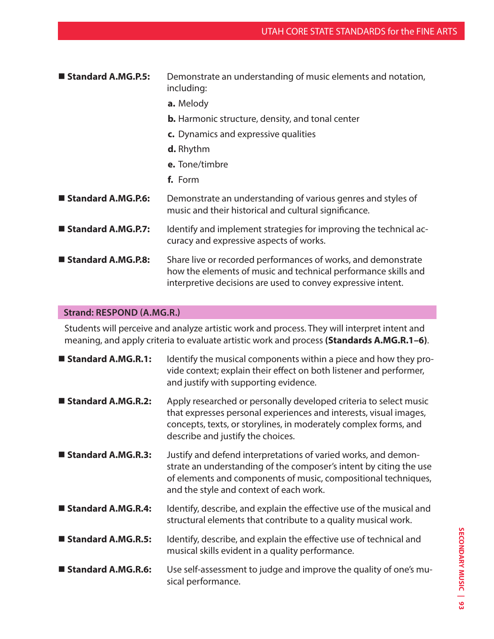| <b>Standard A.MG.P.5:</b> | Demonstrate an understanding of music elements and notation,<br>including:                                                                                                                      |
|---------------------------|-------------------------------------------------------------------------------------------------------------------------------------------------------------------------------------------------|
|                           | a. Melody                                                                                                                                                                                       |
|                           | <b>b.</b> Harmonic structure, density, and tonal center                                                                                                                                         |
|                           | c. Dynamics and expressive qualities                                                                                                                                                            |
|                           | <b>d.</b> Rhythm                                                                                                                                                                                |
|                           | e. Tone/timbre                                                                                                                                                                                  |
|                           | f. Form                                                                                                                                                                                         |
| <b>Standard A.MG.P.6:</b> | Demonstrate an understanding of various genres and styles of<br>music and their historical and cultural significance.                                                                           |
| ■ Standard A.MG.P.7:      | Identify and implement strategies for improving the technical ac-<br>curacy and expressive aspects of works.                                                                                    |
| <b>Standard A.MG.P.8:</b> | Share live or recorded performances of works, and demonstrate<br>how the elements of music and technical performance skills and<br>interpretive decisions are used to convey expressive intent. |

### **Strand: RESPOND (A.MG.R.)**

Students will perceive and analyze artistic work and process. They will interpret intent and meaning, and apply criteria to evaluate artistic work and process **(Standards A.MG.R.1–6)**.

| <b>Standard A.MG.R.1:</b> | Identify the musical components within a piece and how they pro-<br>vide context; explain their effect on both listener and performer,<br>and justify with supporting evidence.                                                                   |
|---------------------------|---------------------------------------------------------------------------------------------------------------------------------------------------------------------------------------------------------------------------------------------------|
| <b>Standard A.MG.R.2:</b> | Apply researched or personally developed criteria to select music<br>that expresses personal experiences and interests, visual images,<br>concepts, texts, or storylines, in moderately complex forms, and<br>describe and justify the choices.   |
| <b>Standard A.MG.R.3:</b> | Justify and defend interpretations of varied works, and demon-<br>strate an understanding of the composer's intent by citing the use<br>of elements and components of music, compositional techniques,<br>and the style and context of each work. |
| ■ Standard A.MG.R.4:      | Identify, describe, and explain the effective use of the musical and<br>structural elements that contribute to a quality musical work.                                                                                                            |
| <b>Standard A.MG.R.5:</b> | Identify, describe, and explain the effective use of technical and<br>musical skills evident in a quality performance.                                                                                                                            |
| <b>Standard A.MG.R.6:</b> | Use self-assessment to judge and improve the quality of one's mu-<br>sical performance.                                                                                                                                                           |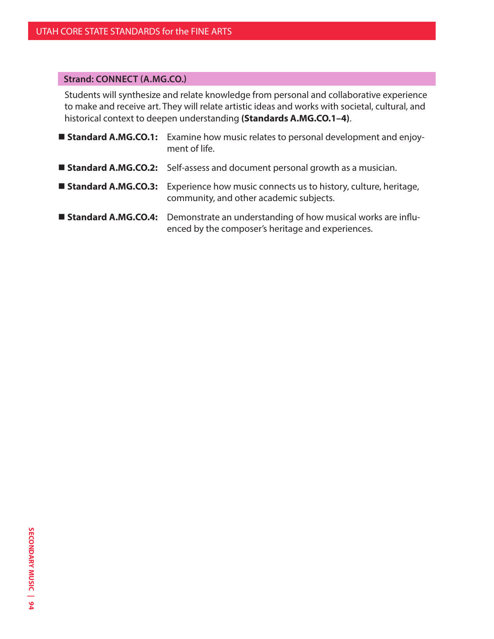#### **Strand: CONNECT (A.MG.CO.)**

Students will synthesize and relate knowledge from personal and collaborative experience to make and receive art. They will relate artistic ideas and works with societal, cultural, and historical context to deepen understanding **(Standards A.MG.CO.1–4)**.

| <b>Standard A.MG.CO.1:</b> Examine how music relates to personal development and enjoy-<br>ment of life.                                     |
|----------------------------------------------------------------------------------------------------------------------------------------------|
| <b>Standard A.MG.CO.2:</b> Self-assess and document personal growth as a musician.                                                           |
| <b>Standard A.MG.CO.3:</b> Experience how music connects us to history, culture, heritage,<br>community, and other academic subjects.        |
| <b>Standard A.MG.CO.4:</b> Demonstrate an understanding of how musical works are influ-<br>enced by the composer's heritage and experiences. |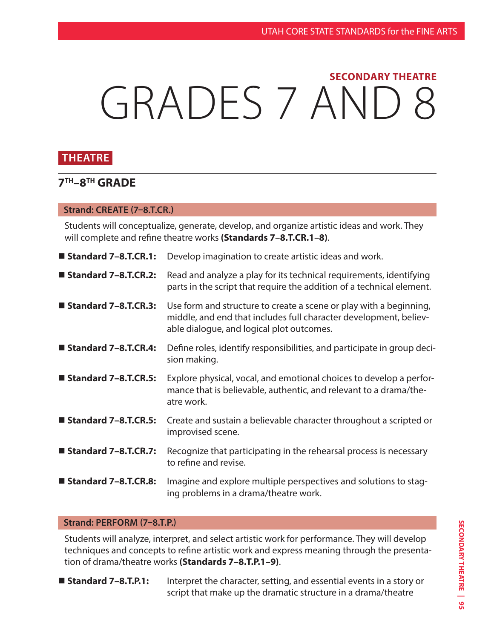# <span id="page-47-0"></span>**SECONDARY THEATRE** GRADES 7 AND 8

# **THEATRE**

### **7TH–8TH GRADE**

#### **Strand: CREATE (7–8.T.CR.)**

Students will conceptualize, generate, develop, and organize artistic ideas and work. They will complete and refine theatre works **(Standards 7–8.T.CR.1–8)**.

| $\blacksquare$ Standard 7-8.T.CR.1: | Develop imagination to create artistic ideas and work.                                                                                                                               |
|-------------------------------------|--------------------------------------------------------------------------------------------------------------------------------------------------------------------------------------|
| <b>Standard 7-8.T.CR.2:</b>         | Read and analyze a play for its technical requirements, identifying<br>parts in the script that require the addition of a technical element.                                         |
| ■ Standard 7-8.T.CR.3:              | Use form and structure to create a scene or play with a beginning,<br>middle, and end that includes full character development, believ-<br>able dialogue, and logical plot outcomes. |
| <b>Standard 7-8.T.CR.4:</b>         | Define roles, identify responsibilities, and participate in group deci-<br>sion making.                                                                                              |
| <b>Standard 7-8.T.CR.5:</b>         | Explore physical, vocal, and emotional choices to develop a perfor-<br>mance that is believable, authentic, and relevant to a drama/the-<br>atre work.                               |
| $\blacksquare$ Standard 7-8.T.CR.5: | Create and sustain a believable character throughout a scripted or<br>improvised scene.                                                                                              |
| ■ Standard 7-8.T.CR.7:              | Recognize that participating in the rehearsal process is necessary<br>to refine and revise.                                                                                          |
| ■ Standard 7-8.T.CR.8:              | Imagine and explore multiple perspectives and solutions to stag-<br>ing problems in a drama/theatre work.                                                                            |

#### **Strand: PERFORM (7–8.T.P.)**

Students will analyze, interpret, and select artistic work for performance. They will develop techniques and concepts to refine artistic work and express meaning through the presentation of drama/theatre works **(Standards 7–8.T.P.1–9)**.

■ **Standard 7-8.T.P.1:** Interpret the character, setting, and essential events in a story or script that make up the dramatic structure in a drama/theatre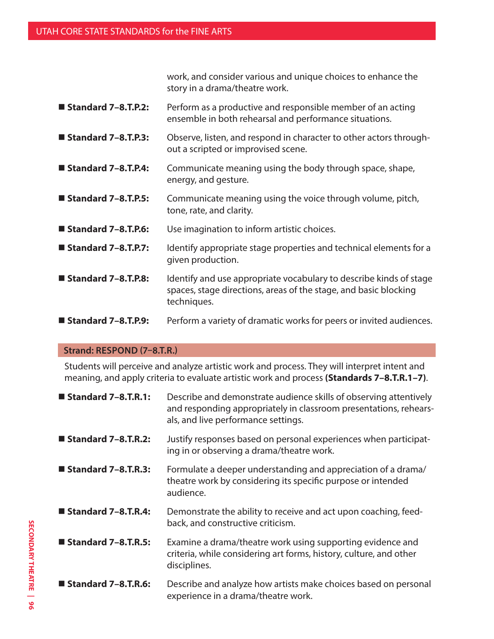work, and consider various and unique choices to enhance the story in a drama/theatre work.

- **Standard 7–8.T.P.2:** Perform as a productive and responsible member of an acting ensemble in both rehearsal and performance situations.
- **Standard 7–8.T.P.3:** Observe, listen, and respond in character to other actors throughout a scripted or improvised scene.
- **Standard 7-8.T.P.4:** Communicate meaning using the body through space, shape, energy, and gesture.
- **Standard 7–8.T.P.5:** Communicate meaning using the voice through volume, pitch, tone, rate, and clarity.
- **Standard 7–8.T.P.6:** Use imagination to inform artistic choices.
- **Standard 7-8.T.P.7:** Identify appropriate stage properties and technical elements for a given production.
- **Standard 7–8.T.P.8:** Identify and use appropriate vocabulary to describe kinds of stage spaces, stage directions, areas of the stage, and basic blocking techniques.
- **Standard 7–8.T.P.9:** Perform a variety of dramatic works for peers or invited audiences.

#### **Strand: RESPOND (7–8.T.R.)**

Students will perceive and analyze artistic work and process. They will interpret intent and meaning, and apply criteria to evaluate artistic work and process **(Standards 7–8.T.R.1–7)**.

| $\blacksquare$ Standard 7-8.T.R.1: | Describe and demonstrate audience skills of observing attentively<br>and responding appropriately in classroom presentations, rehears-<br>als, and live performance settings. |
|------------------------------------|-------------------------------------------------------------------------------------------------------------------------------------------------------------------------------|
| $\blacksquare$ Standard 7-8.T.R.2: | Justify responses based on personal experiences when participat-<br>ing in or observing a drama/theatre work.                                                                 |
| $\blacksquare$ Standard 7-8.T.R.3: | Formulate a deeper understanding and appreciation of a drama/<br>theatre work by considering its specific purpose or intended<br>audience.                                    |
| $\blacksquare$ Standard 7-8.T.R.4: | Demonstrate the ability to receive and act upon coaching, feed-<br>back, and constructive criticism.                                                                          |
| $\blacksquare$ Standard 7-8.T.R.5: | Examine a drama/theatre work using supporting evidence and<br>criteria, while considering art forms, history, culture, and other<br>disciplines.                              |
| $\blacksquare$ Standard 7-8.T.R.6: | Describe and analyze how artists make choices based on personal<br>experience in a drama/theatre work.                                                                        |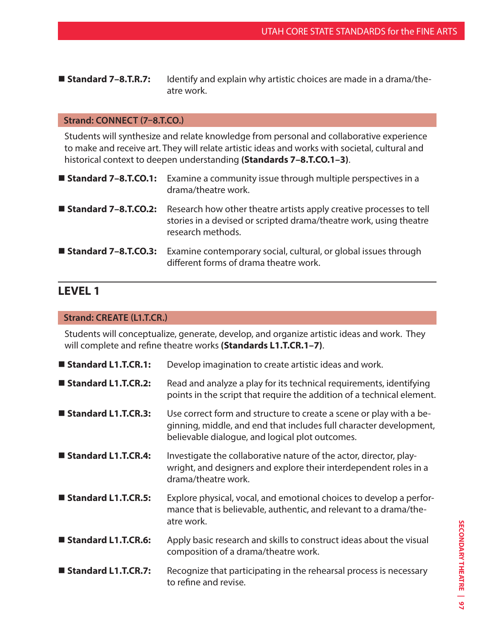#### <span id="page-49-0"></span>**Standard 7–8.T.R.7:** Identify and explain why artistic choices are made in a drama/theatre work.

#### **Strand: CONNECT (7–8.T.CO.)**

Students will synthesize and relate knowledge from personal and collaborative experience to make and receive art. They will relate artistic ideas and works with societal, cultural and historical context to deepen understanding **(Standards 7–8.T.CO.1–3)**.

|                                     | <b>Standard 7-8.T.CO.1:</b> Examine a community issue through multiple perspectives in a<br>drama/theatre work.                                                |
|-------------------------------------|----------------------------------------------------------------------------------------------------------------------------------------------------------------|
| $\blacksquare$ Standard 7-8.T.CO.2: | Research how other theatre artists apply creative processes to tell<br>stories in a devised or scripted drama/theatre work, using theatre<br>research methods. |
|                                     | <b>Standard 7-8.T.CO.3:</b> Examine contemporary social, cultural, or global issues through<br>different forms of drama theatre work.                          |

# **LEVEL 1**

#### **Strand: CREATE (L1.T.CR.)**

Students will conceptualize, generate, develop, and organize artistic ideas and work. They will complete and refine theatre works **(Standards L1.T.CR.1–7)**.

| ■ Standard L1.T.CR.1:      | Develop imagination to create artistic ideas and work.                                                                                                                                       |
|----------------------------|----------------------------------------------------------------------------------------------------------------------------------------------------------------------------------------------|
| <b>Standard L1.T.CR.2:</b> | Read and analyze a play for its technical requirements, identifying<br>points in the script that require the addition of a technical element.                                                |
| ■ Standard L1.T.CR.3:      | Use correct form and structure to create a scene or play with a be-<br>ginning, middle, and end that includes full character development,<br>believable dialogue, and logical plot outcomes. |
| ■ Standard L1.T.CR.4:      | Investigate the collaborative nature of the actor, director, play-<br>wright, and designers and explore their interdependent roles in a<br>drama/theatre work.                               |
| <b>Standard L1.T.CR.5:</b> | Explore physical, vocal, and emotional choices to develop a perfor-<br>mance that is believable, authentic, and relevant to a drama/the-<br>atre work.                                       |
| <b>Standard L1.T.CR.6:</b> | Apply basic research and skills to construct ideas about the visual<br>composition of a drama/theatre work.                                                                                  |
| ■ Standard L1.T.CR.7:      | Recognize that participating in the rehearsal process is necessary<br>to refine and revise.                                                                                                  |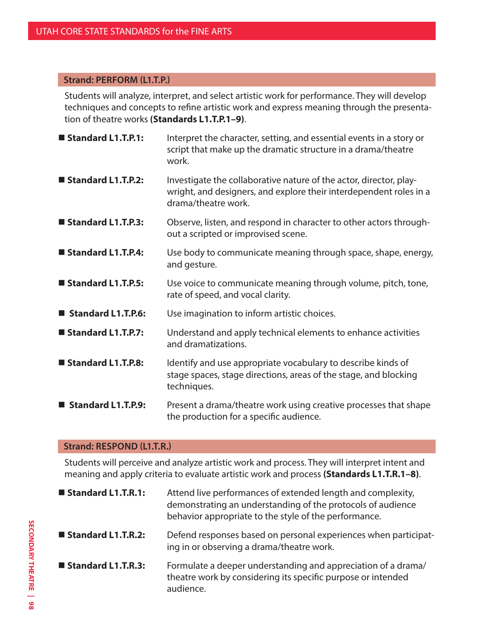#### **Strand: PERFORM (L1.T.P.)**

Students will analyze, interpret, and select artistic work for performance. They will develop techniques and concepts to refine artistic work and express meaning through the presentation of theatre works **(Standards L1.T.P.1–9)**.

| Standard L1.T.P.1:        | Interpret the character, setting, and essential events in a story or<br>script that make up the dramatic structure in a drama/theatre<br>work.                  |
|---------------------------|-----------------------------------------------------------------------------------------------------------------------------------------------------------------|
| <b>Standard L1.T.P.2:</b> | Investigate the collaborative nature of the actor, director, play-<br>wright, and designers, and explore their interdependent roles in a<br>drama/theatre work. |
| <b>Standard L1.T.P.3:</b> | Observe, listen, and respond in character to other actors through-<br>out a scripted or improvised scene.                                                       |
| <b>Standard L1.T.P.4:</b> | Use body to communicate meaning through space, shape, energy,<br>and gesture.                                                                                   |
| Standard L1.T.P.5:        | Use voice to communicate meaning through volume, pitch, tone,<br>rate of speed, and vocal clarity.                                                              |
| Standard L1.T.P.6:        | Use imagination to inform artistic choices.                                                                                                                     |
| <b>Standard L1.T.P.7:</b> | Understand and apply technical elements to enhance activities<br>and dramatizations.                                                                            |
| <b>Standard L1.T.P.8:</b> | Identify and use appropriate vocabulary to describe kinds of<br>stage spaces, stage directions, areas of the stage, and blocking<br>techniques.                 |
| Standard L1.T.P.9:        | Present a drama/theatre work using creative processes that shape<br>the production for a specific audience.                                                     |

#### **Strand: RESPOND (L1.T.R.)**

Students will perceive and analyze artistic work and process. They will interpret intent and meaning and apply criteria to evaluate artistic work and process **(Standards L1.T.R.1–8)**.

| $\blacksquare$ Standard L1.T.R.1: | Attend live performances of extended length and complexity,<br>demonstrating an understanding of the protocols of audience<br>behavior appropriate to the style of the performance. |
|-----------------------------------|-------------------------------------------------------------------------------------------------------------------------------------------------------------------------------------|
| $\blacksquare$ Standard L1.T.R.2: | Defend responses based on personal experiences when participat-<br>ing in or observing a drama/theatre work.                                                                        |
| $\blacksquare$ Standard L1.T.R.3: | Formulate a deeper understanding and appreciation of a drama/<br>theatre work by considering its specific purpose or intended<br>audience.                                          |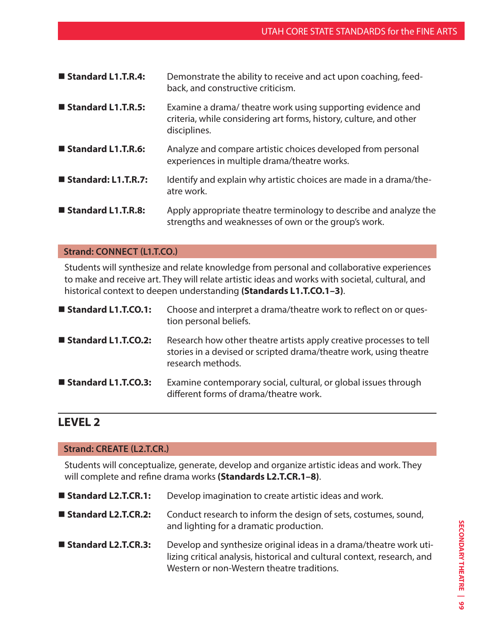<span id="page-51-0"></span>

| Demonstrate the ability to receive and act upon coaching, feed-<br>back, and constructive criticism.                                             |
|--------------------------------------------------------------------------------------------------------------------------------------------------|
| Examine a drama/theatre work using supporting evidence and<br>criteria, while considering art forms, history, culture, and other<br>disciplines. |
| Analyze and compare artistic choices developed from personal<br>experiences in multiple drama/theatre works.                                     |
| Identify and explain why artistic choices are made in a drama/the-<br>atre work.                                                                 |
| Apply appropriate theatre terminology to describe and analyze the<br>strengths and weaknesses of own or the group's work.                        |
|                                                                                                                                                  |

#### **Strand: CONNECT (L1.T.CO.)**

Students will synthesize and relate knowledge from personal and collaborative experiences to make and receive art. They will relate artistic ideas and works with societal, cultural, and historical context to deepen understanding **(Standards L1.T.CO.1–3)**.

| <b>Standard L1.T.CO.1:</b> | Choose and interpret a drama/theatre work to reflect on or ques-<br>tion personal beliefs.                                                                     |
|----------------------------|----------------------------------------------------------------------------------------------------------------------------------------------------------------|
| <b>Standard L1.T.CO.2:</b> | Research how other theatre artists apply creative processes to tell<br>stories in a devised or scripted drama/theatre work, using theatre<br>research methods. |
| <b>Standard L1.T.CO.3:</b> | Examine contemporary social, cultural, or global issues through<br>different forms of drama/theatre work.                                                      |

# **LEVEL 2**

### **Strand: CREATE (L2.T.CR.)**

Students will conceptualize, generate, develop and organize artistic ideas and work. They will complete and refine drama works **(Standards L2.T.CR.1–8)**.

| $\blacksquare$ Standard L2.T.CR.1: | Develop imagination to create artistic ideas and work.                                                                                                                                       |
|------------------------------------|----------------------------------------------------------------------------------------------------------------------------------------------------------------------------------------------|
| <b>Standard L2.T.CR.2:</b>         | Conduct research to inform the design of sets, costumes, sound,<br>and lighting for a dramatic production.                                                                                   |
| <b>Standard L2.T.CR.3:</b>         | Develop and synthesize original ideas in a drama/theatre work uti-<br>lizing critical analysis, historical and cultural context, research, and<br>Western or non-Western theatre traditions. |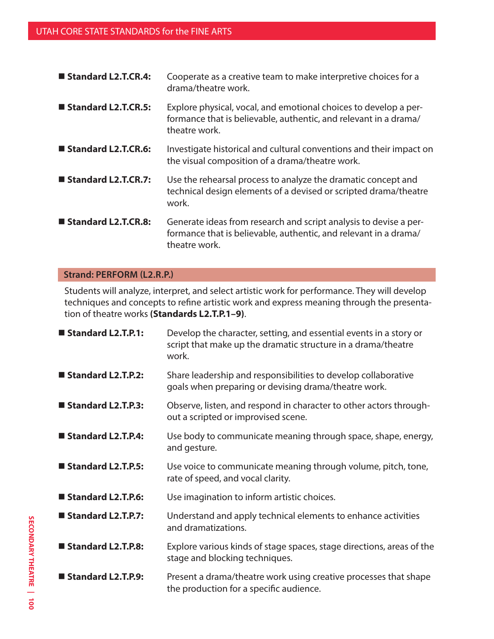| <b>Standard L2.T.CR.4:</b> | Cooperate as a creative team to make interpretive choices for a<br>drama/theatre work.                                                                 |
|----------------------------|--------------------------------------------------------------------------------------------------------------------------------------------------------|
| <b>Standard L2.T.CR.5:</b> | Explore physical, vocal, and emotional choices to develop a per-<br>formance that is believable, authentic, and relevant in a drama/<br>theatre work.  |
| <b>Standard L2.T.CR.6:</b> | Investigate historical and cultural conventions and their impact on<br>the visual composition of a drama/theatre work.                                 |
| <b>Standard L2.T.CR.7:</b> | Use the rehearsal process to analyze the dramatic concept and<br>technical design elements of a devised or scripted drama/theatre<br>work.             |
| <b>Standard L2.T.CR.8:</b> | Generate ideas from research and script analysis to devise a per-<br>formance that is believable, authentic, and relevant in a drama/<br>theatre work. |

#### **Strand: PERFORM (L2.R.P.)**

Students will analyze, interpret, and select artistic work for performance. They will develop techniques and concepts to refine artistic work and express meaning through the presentation of theatre works **(Standards L2.T.P.1–9)**.

| ■ Standard L2.T.P.1:      | Develop the character, setting, and essential events in a story or<br>script that make up the dramatic structure in a drama/theatre<br>work. |
|---------------------------|----------------------------------------------------------------------------------------------------------------------------------------------|
| ■ Standard L2.T.P.2:      | Share leadership and responsibilities to develop collaborative<br>goals when preparing or devising drama/theatre work.                       |
| ■ Standard L2.T.P.3:      | Observe, listen, and respond in character to other actors through-<br>out a scripted or improvised scene.                                    |
| <b>Standard L2.T.P.4:</b> | Use body to communicate meaning through space, shape, energy,<br>and gesture.                                                                |
| ■ Standard L2.T.P.5:      | Use voice to communicate meaning through volume, pitch, tone,<br>rate of speed, and vocal clarity.                                           |
| Standard L2.T.P.6:        | Use imagination to inform artistic choices.                                                                                                  |
| Standard L2.T.P.7:        | Understand and apply technical elements to enhance activities<br>and dramatizations.                                                         |
| <b>Standard L2.T.P.8:</b> | Explore various kinds of stage spaces, stage directions, areas of the<br>stage and blocking techniques.                                      |
| <b>Standard L2.T.P.9:</b> | Present a drama/theatre work using creative processes that shape<br>the production for a specific audience.                                  |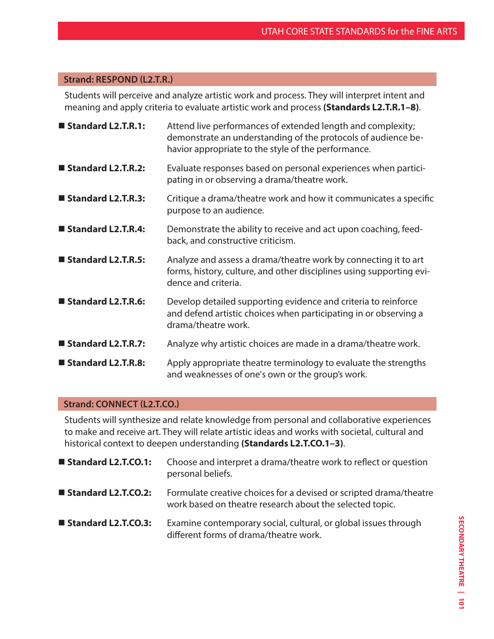#### **Strand: RESPOND (L2.T.R.)**

Students will perceive and analyze artistic work and process. They will interpret intent and meaning and apply criteria to evaluate artistic work and process **(Standards L2.T.R.1–8)**.

| <b>Standard L2.T.R.1:</b> | Attend live performances of extended length and complexity;<br>demonstrate an understanding of the protocols of audience be-<br>havior appropriate to the style of the performance. |
|---------------------------|-------------------------------------------------------------------------------------------------------------------------------------------------------------------------------------|
| <b>Standard L2.T.R.2:</b> | Evaluate responses based on personal experiences when partici-<br>pating in or observing a drama/theatre work.                                                                      |
| ■ Standard L2.T.R.3:      | Critique a drama/theatre work and how it communicates a specific<br>purpose to an audience.                                                                                         |
| <b>Standard L2.T.R.4:</b> | Demonstrate the ability to receive and act upon coaching, feed-<br>back, and constructive criticism.                                                                                |
| <b>Standard L2.T.R.5:</b> | Analyze and assess a drama/theatre work by connecting it to art<br>forms, history, culture, and other disciplines using supporting evi-<br>dence and criteria.                      |
| <b>Standard L2.T.R.6:</b> | Develop detailed supporting evidence and criteria to reinforce<br>and defend artistic choices when participating in or observing a<br>drama/theatre work.                           |
| <b>Standard L2.T.R.7:</b> | Analyze why artistic choices are made in a drama/theatre work.                                                                                                                      |
| <b>Standard L2.T.R.8:</b> | Apply appropriate theatre terminology to evaluate the strengths<br>and weaknesses of one's own or the group's work.                                                                 |

#### **Strand: CONNECT (L2.T.CO.)**

Students will synthesize and relate knowledge from personal and collaborative experiences to make and receive art. They will relate artistic ideas and works with societal, cultural and historical context to deepen understanding **(Standards L2.T.CO.1–3)**.

| <b>Standard L2.T.CO.1:</b>         | Choose and interpret a drama/theatre work to reflect or question<br>personal beliefs.                                          |
|------------------------------------|--------------------------------------------------------------------------------------------------------------------------------|
| $\blacksquare$ Standard L2.T.CO.2: | Formulate creative choices for a devised or scripted drama/theatre<br>work based on theatre research about the selected topic. |
| <b>Standard L2.T.CO.3:</b>         | Examine contemporary social, cultural, or global issues through<br>different forms of drama/theatre work.                      |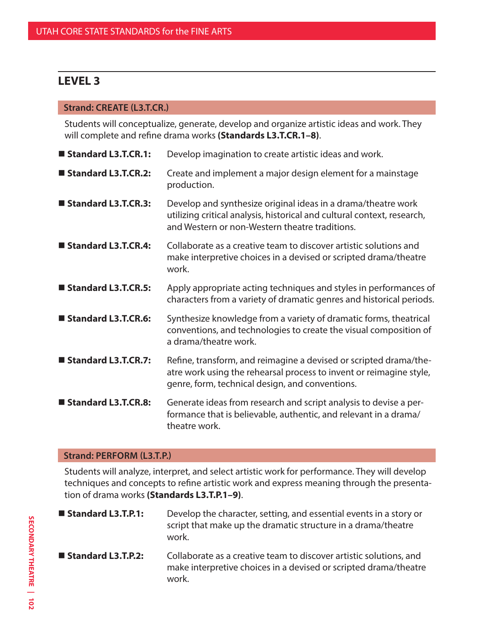# <span id="page-54-0"></span>**LEVEL 3**

#### **Strand: CREATE (L3.T.CR.)**

Students will conceptualize, generate, develop and organize artistic ideas and work. They will complete and refine drama works **(Standards L3.T.CR.1–8)**.

| <b>Standard L3.T.CR.1:</b> | Develop imagination to create artistic ideas and work.                                                                                                                                      |
|----------------------------|---------------------------------------------------------------------------------------------------------------------------------------------------------------------------------------------|
| <b>Standard L3.T.CR.2:</b> | Create and implement a major design element for a mainstage<br>production.                                                                                                                  |
| <b>Standard L3.T.CR.3:</b> | Develop and synthesize original ideas in a drama/theatre work<br>utilizing critical analysis, historical and cultural context, research,<br>and Western or non-Western theatre traditions.  |
| <b>Standard L3.T.CR.4:</b> | Collaborate as a creative team to discover artistic solutions and<br>make interpretive choices in a devised or scripted drama/theatre<br>work.                                              |
| <b>Standard L3.T.CR.5:</b> | Apply appropriate acting techniques and styles in performances of<br>characters from a variety of dramatic genres and historical periods.                                                   |
| <b>Standard L3.T.CR.6:</b> | Synthesize knowledge from a variety of dramatic forms, theatrical<br>conventions, and technologies to create the visual composition of<br>a drama/theatre work.                             |
| ■ Standard L3.T.CR.7:      | Refine, transform, and reimagine a devised or scripted drama/the-<br>atre work using the rehearsal process to invent or reimagine style,<br>genre, form, technical design, and conventions. |
| <b>Standard L3.T.CR.8:</b> | Generate ideas from research and script analysis to devise a per-<br>formance that is believable, authentic, and relevant in a drama/<br>theatre work.                                      |

#### **Strand: PERFORM (L3.T.P.)**

Students will analyze, interpret, and select artistic work for performance. They will develop techniques and concepts to refine artistic work and express meaning through the presentation of drama works **(Standards L3.T.P.1–9)**.

| ■ Standard L3.T.P.1:                              | Develop the character, setting, and essential events in a story or<br>script that make up the dramatic structure in a drama/theatre<br>work. |
|---------------------------------------------------|----------------------------------------------------------------------------------------------------------------------------------------------|
| $\blacksquare$ Changeland L 3 $\blacksquare$ D 3. | Cellabertho es a sucetivo tenne to dissever sutistic solutions, and                                                                          |

**Standard L3.T.P.2:** Collaborate as a creative team to discover artistic solutions, and make interpretive choices in a devised or scripted drama/theatre work.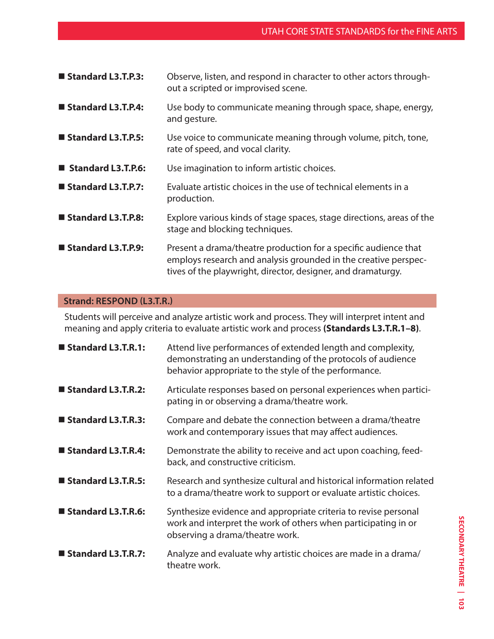| <b>Standard L3.T.P.3:</b> | Observe, listen, and respond in character to other actors through-<br>out a scripted or improvised scene.                                                                                          |
|---------------------------|----------------------------------------------------------------------------------------------------------------------------------------------------------------------------------------------------|
| <b>Standard L3.T.P.4:</b> | Use body to communicate meaning through space, shape, energy,<br>and gesture.                                                                                                                      |
| Standard L3.T.P.5:        | Use voice to communicate meaning through volume, pitch, tone,<br>rate of speed, and vocal clarity.                                                                                                 |
| Standard L3.T.P.6:        | Use imagination to inform artistic choices.                                                                                                                                                        |
| <b>Standard L3.T.P.7:</b> | Evaluate artistic choices in the use of technical elements in a<br>production.                                                                                                                     |
| <b>Standard L3.T.P.8:</b> | Explore various kinds of stage spaces, stage directions, areas of the<br>stage and blocking techniques.                                                                                            |
| <b>Standard L3.T.P.9:</b> | Present a drama/theatre production for a specific audience that<br>employs research and analysis grounded in the creative perspec-<br>tives of the playwright, director, designer, and dramaturgy. |

#### **Strand: RESPOND (L3.T.R.)**

Students will perceive and analyze artistic work and process. They will interpret intent and meaning and apply criteria to evaluate artistic work and process **(Standards L3.T.R.1–8)**.

| <b>Standard L3.T.R.1:</b> | Attend live performances of extended length and complexity,<br>demonstrating an understanding of the protocols of audience<br>behavior appropriate to the style of the performance. |
|---------------------------|-------------------------------------------------------------------------------------------------------------------------------------------------------------------------------------|
| <b>Standard L3.T.R.2:</b> | Articulate responses based on personal experiences when partici-<br>pating in or observing a drama/theatre work.                                                                    |
| <b>Standard L3.T.R.3:</b> | Compare and debate the connection between a drama/theatre<br>work and contemporary issues that may affect audiences.                                                                |
| <b>Standard L3.T.R.4:</b> | Demonstrate the ability to receive and act upon coaching, feed-<br>back, and constructive criticism.                                                                                |
| <b>Standard L3.T.R.5:</b> | Research and synthesize cultural and historical information related<br>to a drama/theatre work to support or evaluate artistic choices.                                             |
| <b>Standard L3.T.R.6:</b> | Synthesize evidence and appropriate criteria to revise personal<br>work and interpret the work of others when participating in or<br>observing a drama/theatre work.                |
| <b>Standard L3.T.R.7:</b> | Analyze and evaluate why artistic choices are made in a drama/<br>theatre work.                                                                                                     |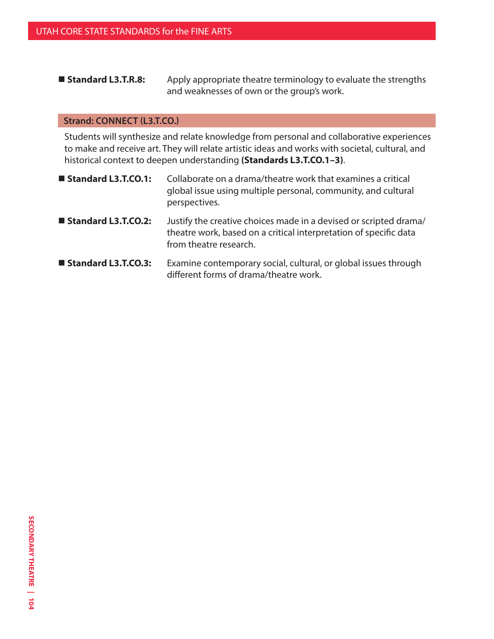■ **Standard L3.T.R.8:** Apply appropriate theatre terminology to evaluate the strengths and weaknesses of own or the group's work.

#### **Strand: CONNECT (L3.T.CO.)**

Students will synthesize and relate knowledge from personal and collaborative experiences to make and receive art. They will relate artistic ideas and works with societal, cultural, and historical context to deepen understanding **(Standards L3.T.CO.1–3)**.

- **Standard L3.T.CO.1:** Collaborate on a drama/theatre work that examines a critical global issue using multiple personal, community, and cultural perspectives.
- **Standard L3.T.CO.2:** Justify the creative choices made in a devised or scripted drama/ theatre work, based on a critical interpretation of specific data from theatre research.
- **Standard L3.T.CO.3:** Examine contemporary social, cultural, or global issues through different forms of drama/theatre work.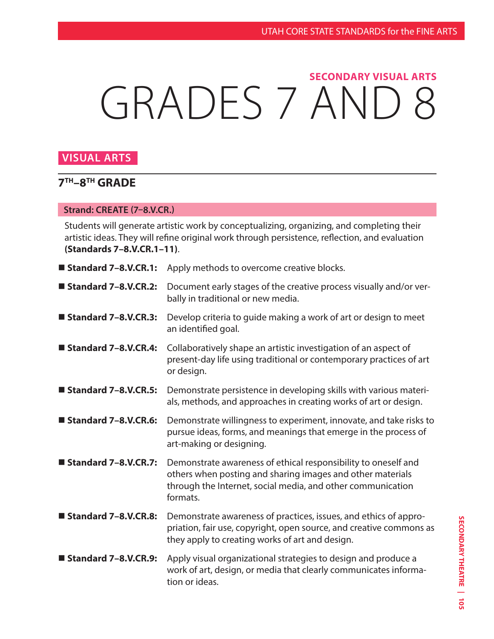# <span id="page-57-0"></span>**SECONDARY VISUAL ARTS** GRADES 7 AND 8

# **VISUAL ARTS**

### **7TH–8TH GRADE**

#### **Strand: CREATE (7–8.V.CR.)**

Students will generate artistic work by conceptualizing, organizing, and completing their artistic ideas. They will refine original work through persistence, reflection, and evaluation **(Standards 7–8.V.CR.1–11)**.

| ■ Standard 7-8.V.CR.1:              | Apply methods to overcome creative blocks.                                                                                                                                                              |
|-------------------------------------|---------------------------------------------------------------------------------------------------------------------------------------------------------------------------------------------------------|
| ■ Standard 7-8.V.CR.2:              | Document early stages of the creative process visually and/or ver-<br>bally in traditional or new media.                                                                                                |
| $\blacksquare$ Standard 7-8.V.CR.3: | Develop criteria to guide making a work of art or design to meet<br>an identified goal.                                                                                                                 |
| $\blacksquare$ Standard 7-8.V.CR.4: | Collaboratively shape an artistic investigation of an aspect of<br>present-day life using traditional or contemporary practices of art<br>or design.                                                    |
| ■ Standard 7-8.V.CR.5:              | Demonstrate persistence in developing skills with various materi-<br>als, methods, and approaches in creating works of art or design.                                                                   |
| Standard 7-8.V.CR.6:                | Demonstrate willingness to experiment, innovate, and take risks to<br>pursue ideas, forms, and meanings that emerge in the process of<br>art-making or designing.                                       |
| Standard 7-8.V.CR.7:                | Demonstrate awareness of ethical responsibility to oneself and<br>others when posting and sharing images and other materials<br>through the Internet, social media, and other communication<br>formats. |
| ■ Standard 7-8.V.CR.8:              | Demonstrate awareness of practices, issues, and ethics of appro-<br>priation, fair use, copyright, open source, and creative commons as<br>they apply to creating works of art and design.              |
| ■ Standard 7-8.V.CR.9:              | Apply visual organizational strategies to design and produce a<br>work of art, design, or media that clearly communicates informa-<br>tion or ideas.                                                    |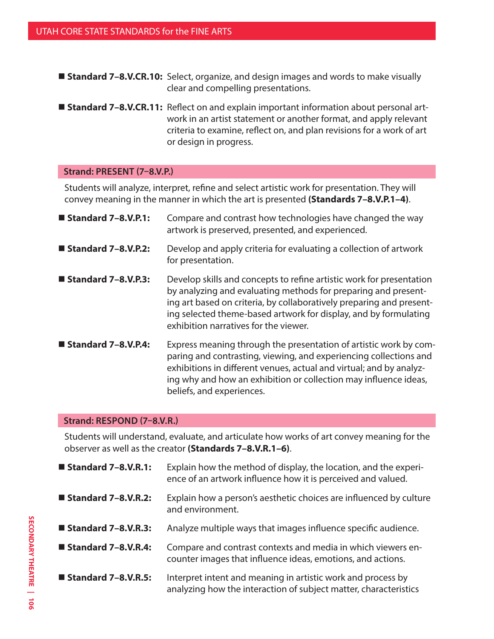- **Standard 7–8.V.CR.10:** Select, organize, and design images and words to make visually clear and compelling presentations.
- Standard 7-8.V.CR.11: Reflect on and explain important information about personal artwork in an artist statement or another format, and apply relevant criteria to examine, reflect on, and plan revisions for a work of art or design in progress.

#### **Strand: PRESENT (7–8.V.P.)**

Students will analyze, interpret, refine and select artistic work for presentation. They will convey meaning in the manner in which the art is presented **(Standards 7–8.V.P.1–4)**.

| $\blacksquare$ Standard 7-8.V.P.1: | Compare and contrast how technologies have changed the way<br>artwork is preserved, presented, and experienced.                                                                                                                                                                                                             |
|------------------------------------|-----------------------------------------------------------------------------------------------------------------------------------------------------------------------------------------------------------------------------------------------------------------------------------------------------------------------------|
| $\blacksquare$ Standard 7-8.V.P.2: | Develop and apply criteria for evaluating a collection of artwork<br>for presentation.                                                                                                                                                                                                                                      |
| $\blacksquare$ Standard 7-8.V.P.3: | Develop skills and concepts to refine artistic work for presentation<br>by analyzing and evaluating methods for preparing and present-<br>ing art based on criteria, by collaboratively preparing and present-<br>ing selected theme-based artwork for display, and by formulating<br>exhibition narratives for the viewer. |
| $\blacksquare$ Standard 7-8.V.P.4: | Express meaning through the presentation of artistic work by com-<br>paring and contrasting, viewing, and experiencing collections and<br>exhibitions in different venues, actual and virtual; and by analyz-<br>ing why and how an exhibition or collection may influence ideas,<br>beliefs, and experiences.              |

#### **Strand: RESPOND (7–8.V.R.)**

Students will understand, evaluate, and articulate how works of art convey meaning for the observer as well as the creator **(Standards 7–8.V.R.1–6)**.

| $\blacksquare$ Standard 7-8.V.R.1: | Explain how the method of display, the location, and the experi-<br>ence of an artwork influence how it is perceived and valued. |
|------------------------------------|----------------------------------------------------------------------------------------------------------------------------------|
| $\blacksquare$ Standard 7-8.V.R.2: | Explain how a person's aesthetic choices are influenced by culture<br>and environment.                                           |
| $\blacksquare$ Standard 7-8.V.R.3: | Analyze multiple ways that images influence specific audience.                                                                   |
| $\blacksquare$ Standard 7-8.V.R.4: | Compare and contrast contexts and media in which viewers en-<br>counter images that influence ideas, emotions, and actions.      |
| $\blacksquare$ Standard 7-8.V.R.5: | Interpret intent and meaning in artistic work and process by<br>analyzing how the interaction of subject matter, characteristics |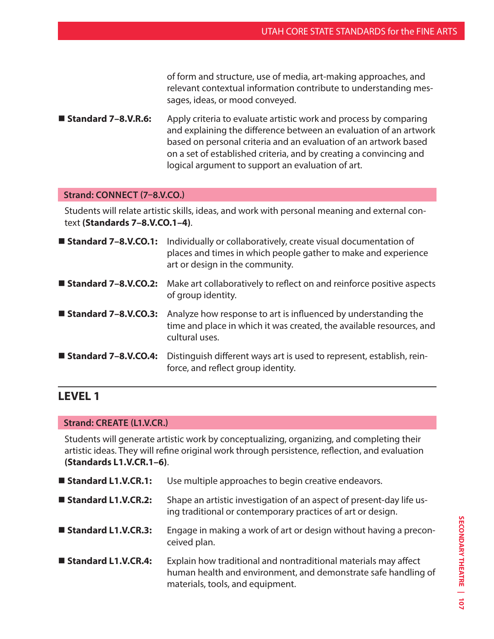of form and structure, use of media, art-making approaches, and relevant contextual information contribute to understanding messages, ideas, or mood conveyed.

<span id="page-59-0"></span>■ **Standard 7–8.V.R.6:** Apply criteria to evaluate artistic work and process by comparing and explaining the difference between an evaluation of an artwork based on personal criteria and an evaluation of an artwork based on a set of established criteria, and by creating a convincing and logical argument to support an evaluation of art.

#### **Strand: CONNECT (7–8.V.CO.)**

Students will relate artistic skills, ideas, and work with personal meaning and external context **(Standards 7–8.V.CO.1–4)**.

|                                     | <b>Standard 7-8.V.CO.1:</b> Individually or collaboratively, create visual documentation of<br>places and times in which people gather to make and experience<br>art or design in the community. |
|-------------------------------------|--------------------------------------------------------------------------------------------------------------------------------------------------------------------------------------------------|
|                                     | <b>Standard 7-8.V.CO.2:</b> Make art collaboratively to reflect on and reinforce positive aspects<br>of group identity.                                                                          |
|                                     | <b>Standard 7-8.V.CO.3:</b> Analyze how response to art is influenced by understanding the<br>time and place in which it was created, the available resources, and<br>cultural uses.             |
| $\blacksquare$ Standard 7-8.V.CO.4: | Distinguish different ways art is used to represent, establish, rein-<br>force, and reflect group identity.                                                                                      |

# **LEVEL 1**

#### **Strand: CREATE (L1.V.CR.)**

Students will generate artistic work by conceptualizing, organizing, and completing their artistic ideas. They will refine original work through persistence, reflection, and evaluation **(Standards L1.V.CR.1–6)**.

| <b>Standard L1.V.CR.1:</b>         | Use multiple approaches to begin creative endeavors.                                                                                                                  |
|------------------------------------|-----------------------------------------------------------------------------------------------------------------------------------------------------------------------|
| <b>Standard L1.V.CR.2:</b>         | Shape an artistic investigation of an aspect of present-day life us-<br>ing traditional or contemporary practices of art or design.                                   |
| <b>Standard L1.V.CR.3:</b>         | Engage in making a work of art or design without having a precon-<br>ceived plan.                                                                                     |
| $\blacksquare$ Standard L1.V.CR.4: | Explain how traditional and nontraditional materials may affect<br>human health and environment, and demonstrate safe handling of<br>materials, tools, and equipment. |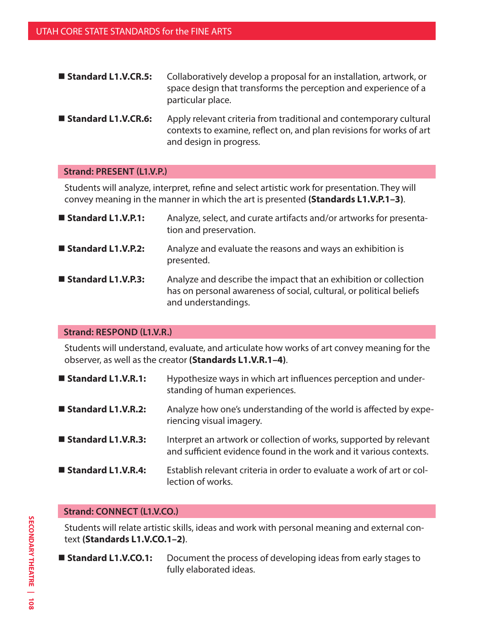| <b>Standard L1.V.CR.5:</b> | Collaboratively develop a proposal for an installation, artwork, or<br>space design that transforms the perception and experience of a<br>particular place.           |
|----------------------------|-----------------------------------------------------------------------------------------------------------------------------------------------------------------------|
| <b>Standard L1.V.CR.6:</b> | Apply relevant criteria from traditional and contemporary cultural<br>contexts to examine, reflect on, and plan revisions for works of art<br>and design in progress. |

#### **Strand: PRESENT (L1.V.P.)**

Students will analyze, interpret, refine and select artistic work for presentation. They will convey meaning in the manner in which the art is presented **(Standards L1.V.P.1–3)**.

| <b>Standard L1.V.P.1:</b> | Analyze, select, and curate artifacts and/or artworks for presenta-<br>tion and preservation.                                                                  |
|---------------------------|----------------------------------------------------------------------------------------------------------------------------------------------------------------|
| <b>Standard L1.V.P.2:</b> | Analyze and evaluate the reasons and ways an exhibition is<br>presented.                                                                                       |
| <b>Standard L1.V.P.3:</b> | Analyze and describe the impact that an exhibition or collection<br>has on personal awareness of social, cultural, or political beliefs<br>and understandings. |

#### **Strand: RESPOND (L1.V.R.)**

Students will understand, evaluate, and articulate how works of art convey meaning for the observer, as well as the creator **(Standards L1.V.R.1–4)**.

| <b>Standard L1.V.R.1:</b>         | Hypothesize ways in which art influences perception and under-<br>standing of human experiences.                                         |
|-----------------------------------|------------------------------------------------------------------------------------------------------------------------------------------|
| $\blacksquare$ Standard L1.V.R.2: | Analyze how one's understanding of the world is affected by expe-<br>riencing visual imagery.                                            |
| $\blacksquare$ Standard L1.V.R.3: | Interpret an artwork or collection of works, supported by relevant<br>and sufficient evidence found in the work and it various contexts. |
| <b>Standard L1.V.R.4:</b>         | Establish relevant criteria in order to evaluate a work of art or col-<br>lection of works.                                              |

#### **Strand: CONNECT (L1.V.CO.)**

Students will relate artistic skills, ideas and work with personal meaning and external context **(Standards L1.V.CO.1–2)**.

**Standard L1.V.CO.1:** Document the process of developing ideas from early stages to fully elaborated ideas.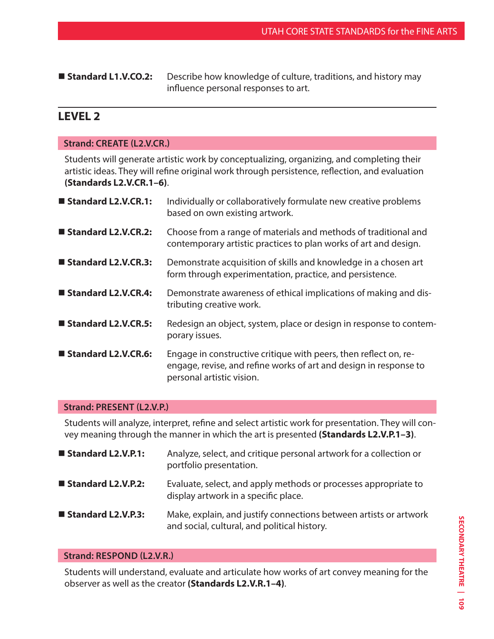<span id="page-61-0"></span>■ **Standard L1.V.CO.2:** Describe how knowledge of culture, traditions, and history may influence personal responses to art.

# **LEVEL 2**

#### **Strand: CREATE (L2.V.CR.)**

Students will generate artistic work by conceptualizing, organizing, and completing their artistic ideas. They will refine original work through persistence, reflection, and evaluation **(Standards L2.V.CR.1–6)**.

| <b>Standard L2.V.CR.1:</b> | Individually or collaboratively formulate new creative problems<br>based on own existing artwork.                                                                  |
|----------------------------|--------------------------------------------------------------------------------------------------------------------------------------------------------------------|
| ■ Standard L2.V.CR.2:      | Choose from a range of materials and methods of traditional and<br>contemporary artistic practices to plan works of art and design.                                |
| ■ Standard L2.V.CR.3:      | Demonstrate acquisition of skills and knowledge in a chosen art<br>form through experimentation, practice, and persistence.                                        |
| <b>Standard L2.V.CR.4:</b> | Demonstrate awareness of ethical implications of making and dis-<br>tributing creative work.                                                                       |
| <b>Standard L2.V.CR.5:</b> | Redesign an object, system, place or design in response to contem-<br>porary issues.                                                                               |
| <b>Standard L2.V.CR.6:</b> | Engage in constructive critique with peers, then reflect on, re-<br>engage, revise, and refine works of art and design in response to<br>personal artistic vision. |

#### **Strand: PRESENT (L2.V.P.)**

Students will analyze, interpret, refine and select artistic work for presentation. They will convey meaning through the manner in which the art is presented **(Standards L2.V.P.1–3)**.

| <b>Standard L2.V.P.1:</b> | Analyze, select, and critique personal artwork for a collection or<br>portfolio presentation.                     |
|---------------------------|-------------------------------------------------------------------------------------------------------------------|
| <b>Standard L2.V.P.2:</b> | Evaluate, select, and apply methods or processes appropriate to<br>display artwork in a specific place.           |
| <b>Standard L2.V.P.3:</b> | Make, explain, and justify connections between artists or artwork<br>and social, cultural, and political history. |

#### **Strand: RESPOND (L2.V.R.)**

Students will understand, evaluate and articulate how works of art convey meaning for the observer as well as the creator **(Standards L2.V.R.1–4)**.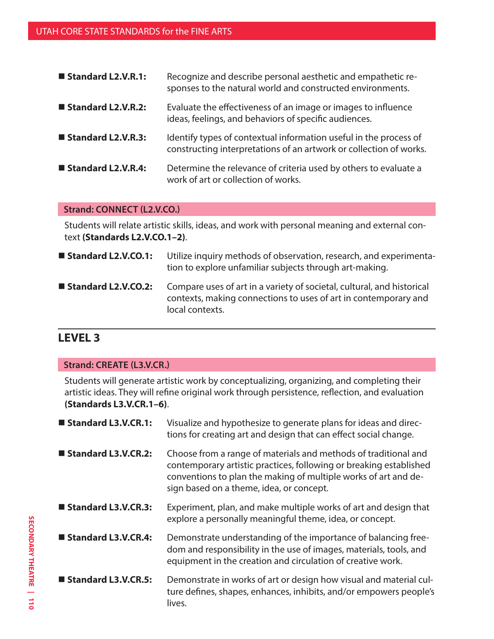<span id="page-62-0"></span>

| $\blacksquare$ Standard L2.V.R.1: | Recognize and describe personal aesthetic and empathetic re-<br>sponses to the natural world and constructed environments.              |
|-----------------------------------|-----------------------------------------------------------------------------------------------------------------------------------------|
| $\blacksquare$ Standard L2.V.R.2: | Evaluate the effectiveness of an image or images to influence<br>ideas, feelings, and behaviors of specific audiences.                  |
| $\blacksquare$ Standard L2.V.R.3: | Identify types of contextual information useful in the process of<br>constructing interpretations of an artwork or collection of works. |
| $\blacksquare$ Standard L2.V.R.4: | Determine the relevance of criteria used by others to evaluate a<br>work of art or collection of works.                                 |

#### **Strand: CONNECT (L2.V.CO.)**

Students will relate artistic skills, ideas, and work with personal meaning and external context **(Standards L2.V.CO.1–2)**.

| <b>Standard L2.V.CO.1:</b> | Utilize inquiry methods of observation, research, and experimenta-<br>tion to explore unfamiliar subjects through art-making.                                |
|----------------------------|--------------------------------------------------------------------------------------------------------------------------------------------------------------|
| <b>Standard L2.V.CO.2:</b> | Compare uses of art in a variety of societal, cultural, and historical<br>contexts, making connections to uses of art in contemporary and<br>local contexts. |

# **LEVEL 3**

#### **Strand: CREATE (L3.V.CR.)**

Students will generate artistic work by conceptualizing, organizing, and completing their artistic ideas. They will refine original work through persistence, reflection, and evaluation **(Standards L3.V.CR.1–6)**.

| ■ Standard L3.V.CR.1:      | Visualize and hypothesize to generate plans for ideas and direc-<br>tions for creating art and design that can effect social change.                                                                                                                 |
|----------------------------|------------------------------------------------------------------------------------------------------------------------------------------------------------------------------------------------------------------------------------------------------|
| <b>Standard L3.V.CR.2:</b> | Choose from a range of materials and methods of traditional and<br>contemporary artistic practices, following or breaking established<br>conventions to plan the making of multiple works of art and de-<br>sign based on a theme, idea, or concept. |
| <b>Standard L3.V.CR.3:</b> | Experiment, plan, and make multiple works of art and design that<br>explore a personally meaningful theme, idea, or concept.                                                                                                                         |
| ■ Standard L3.V.CR.4:      | Demonstrate understanding of the importance of balancing free-<br>dom and responsibility in the use of images, materials, tools, and<br>equipment in the creation and circulation of creative work.                                                  |
| <b>Standard L3.V.CR.5:</b> | Demonstrate in works of art or design how visual and material cul-<br>ture defines, shapes, enhances, inhibits, and/or empowers people's<br>lives.                                                                                                   |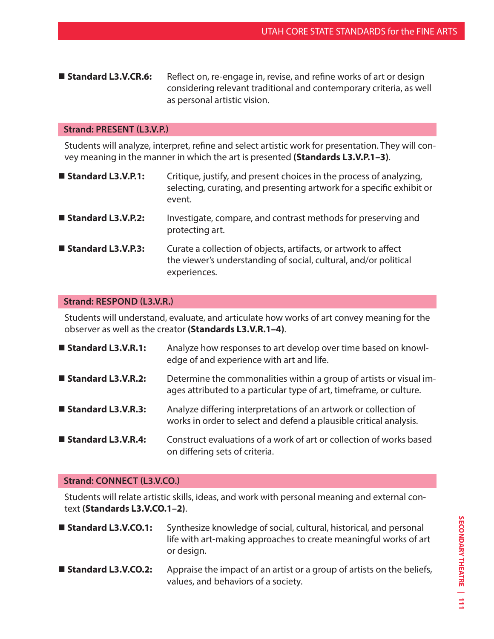■ **Standard L3.V.CR.6:** Reflect on, re-engage in, revise, and refine works of art or design considering relevant traditional and contemporary criteria, as well as personal artistic vision.

#### **Strand: PRESENT (L3.V.P.)**

Students will analyze, interpret, refine and select artistic work for presentation. They will convey meaning in the manner in which the art is presented **(Standards L3.V.P.1–3)**.

| <b>Standard L3.V.P.1:</b> | Critique, justify, and present choices in the process of analyzing,<br>selecting, curating, and presenting artwork for a specific exhibit or<br>event. |
|---------------------------|--------------------------------------------------------------------------------------------------------------------------------------------------------|
| <b>Standard L3.V.P.2:</b> | Investigate, compare, and contrast methods for preserving and<br>protecting art.                                                                       |
| <b>Standard L3.V.P.3:</b> | Curate a collection of objects, artifacts, or artwork to affect<br>the viewer's understanding of social, cultural, and/or political<br>experiences.    |

#### **Strand: RESPOND (L3.V.R.)**

Students will understand, evaluate, and articulate how works of art convey meaning for the observer as well as the creator **(Standards L3.V.R.1–4)**.

| <b>Standard L3.V.R.1:</b>         | Analyze how responses to art develop over time based on knowl-<br>edge of and experience with art and life.                                |
|-----------------------------------|--------------------------------------------------------------------------------------------------------------------------------------------|
| <b>Standard L3.V.R.2:</b>         | Determine the commonalities within a group of artists or visual im-<br>ages attributed to a particular type of art, timeframe, or culture. |
| $\blacksquare$ Standard L3.V.R.3: | Analyze differing interpretations of an artwork or collection of<br>works in order to select and defend a plausible critical analysis.     |
| $\blacksquare$ Standard L3.V.R.4: | Construct evaluations of a work of art or collection of works based<br>on differing sets of criteria.                                      |

#### **Strand: CONNECT (L3.V.CO.)**

Students will relate artistic skills, ideas, and work with personal meaning and external context **(Standards L3.V.CO.1–2)**.

- **Standard L3.V.CO.1:** Synthesize knowledge of social, cultural, historical, and personal life with art-making approaches to create meaningful works of art or design.
- **Standard L3.V.CO.2:** Appraise the impact of an artist or a group of artists on the beliefs, values, and behaviors of a society.